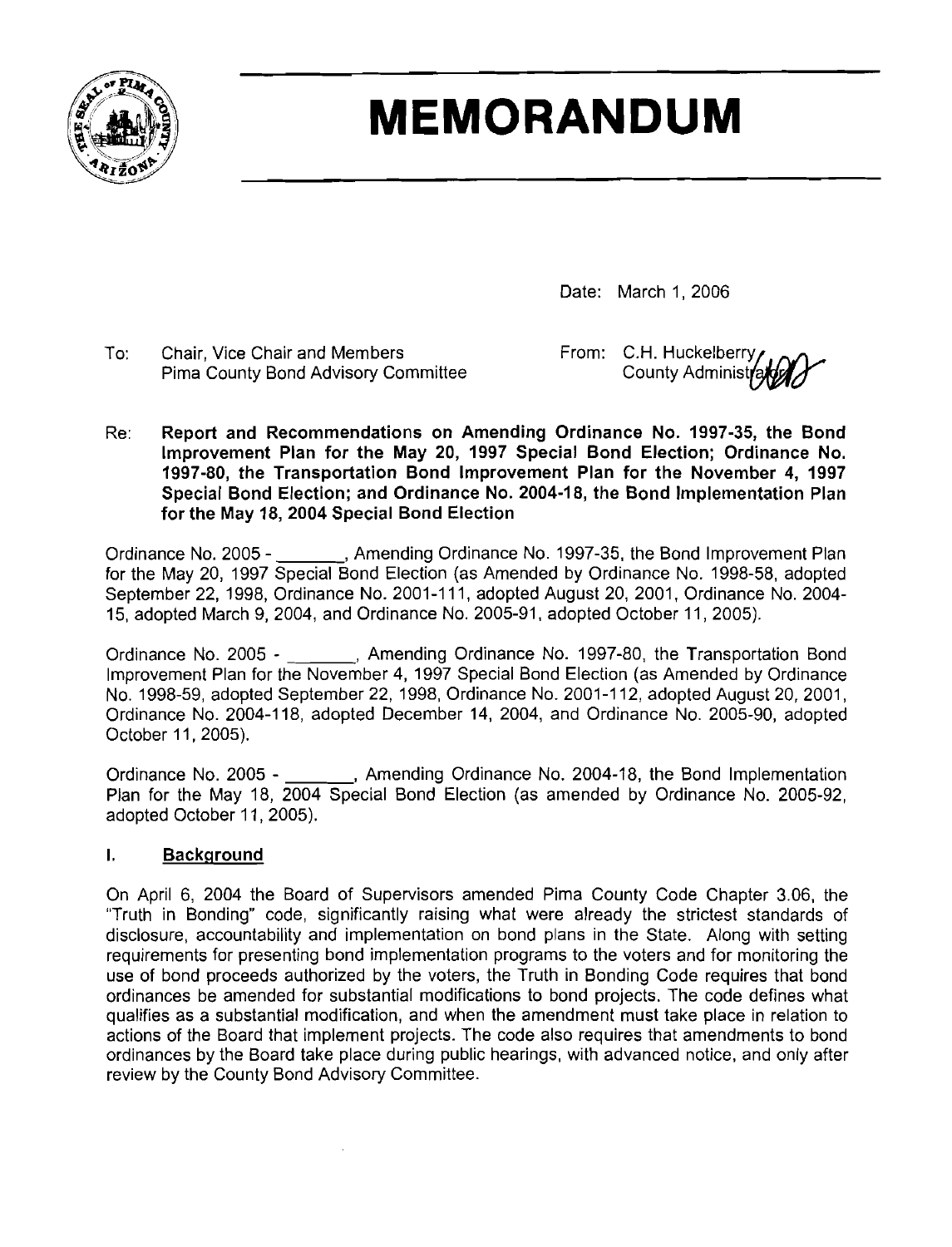

# **MEMORANDUM**

Date: March 1, 2006

To: Chair, Vice Chair and Members From: C.H. Huckelberry From: C.H. Huckelberry Pima County Bond Advisory Committee

Re: Report and Recommendations on Amending Ordinance No. **1997-35,** the Bond lmprovement Plan for the May **20, 1997** Special Bond Election; Ordinance No. **1997-80,** the Transportation Bond lmprovement Plan for the November **4, 1997**  Special Bond Election; and Ordinance No. **2004-18,** the Bond lmplementation Plan for the May **18, 2004** Special Bond Election

Ordinance No. 2005 - , Amending Ordinance No. 1997-35, the Bond Improvement Plan for the May 20, 1997 Special Bond Election (as Amended by Ordinance No. 1998-58, adopted September 22, 1998, Ordinance No. 2001-1 11, adopted August 20, 2001, Ordinance No. 2004- 15, adopted March 9, 2004, and Ordinance No. 2005-91, adopted October 11, 2005).

Ordinance No. 2005 - \_\_\_\_\_\_, Amending Ordinance No. 1997-80, the Transportation Bond lmprovement Plan for the November 4, 1997 Special Bond Election (as Amended by Ordinance No. 1998-59, adopted September 22, 1998, Ordinance No. 2001-1 12, adopted August 20, 2001, Ordinance No. 2004-1 18, adopted December 14, 2004, and Ordinance No. 2005-90, adopted October 11,2005).

Ordinance No. 2005 - \_\_\_\_\_\_, Amending Ordinance No. 2004-18, the Bond Implementation Plan for the May 18, 2004 Special Bond Election (as amended by Ordinance No. 2005-92, adopted October 11, 2005).

#### I. Background

On April 6, 2004 the Board of Supervisors amended Pima County Code Chapter 3.06, the "Truth in Bonding" code, significantly raising what were already the strictest standards of disclosure, accountability and implementation on bond plans in the State. Along with setting requirements for presenting bond implementation programs to the voters and for monitoring the use of bond proceeds authorized by the voters, the Truth in Bonding Code requires that bond ordinances be amended for substantial modifications to bond projects. The code defines what qualifies as a substantial modification, and when the amendment must take place in relation to actions of the Board that implement projects. The code also requires that amendments to bond ordinances by the Board take place during public hearings, with advanced notice, and only after review by the County Bond Advisory Committee.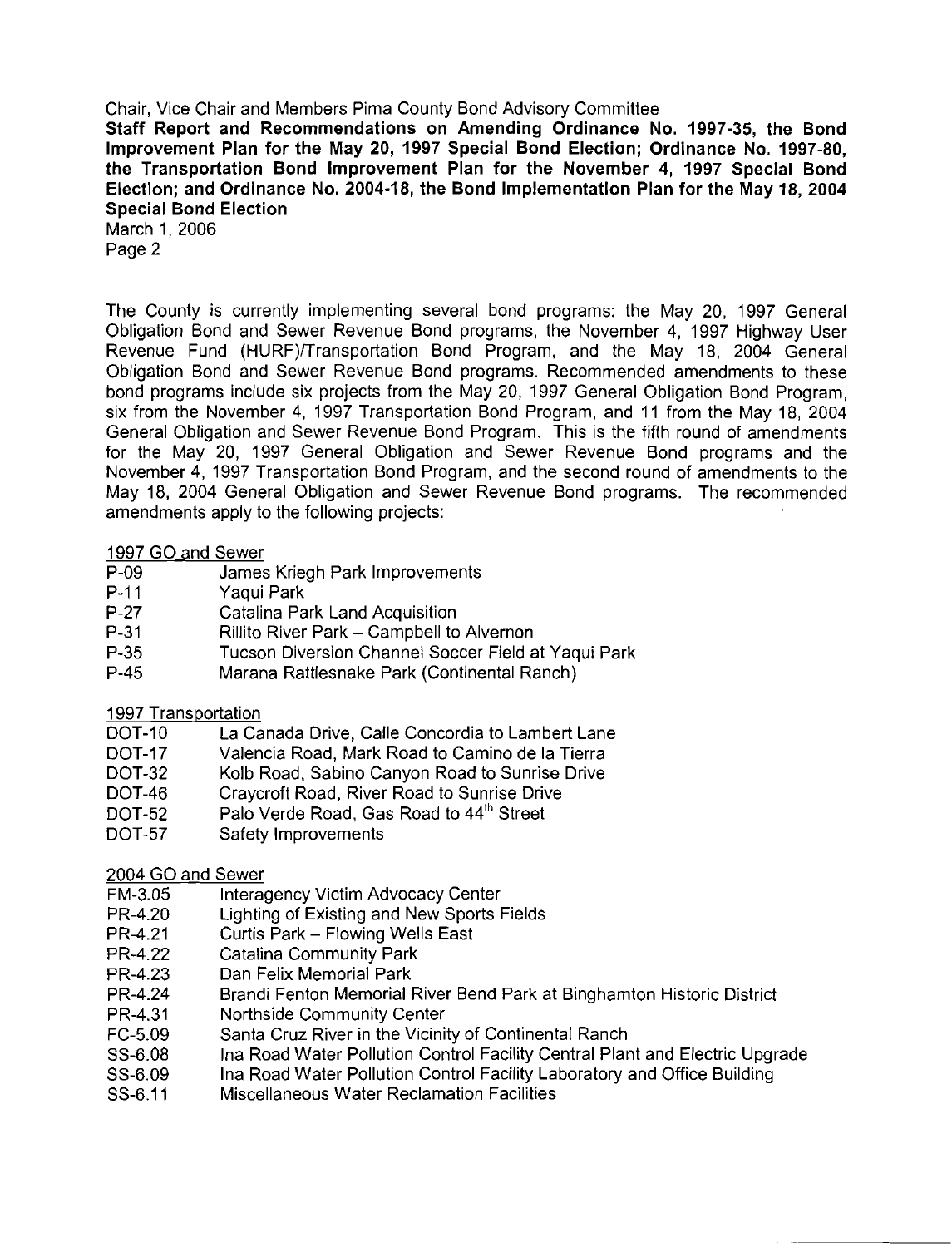Staff Report and Recommendations on Amending Ordinance No. 1997-35, the Bond Improvement Plan for the May 20, 1997 Special Bond Election; Ordinance No. 1997-80, the Transportation Bond Improvement Plan for the November 4, 1997 Special Bond Election; and Ordinance No. 2004-18, the Bond Implementation Plan for the May 18, 2004 Special Bond Election

March 1, 2006 Page 2

The County is currently implementing several bond programs: the May 20, 1997 General Obligation Bond and Sewer Revenue Bond programs, the November 4, 1997 Highway User Revenue Fund (HURF)/Transportation Bond Program, and the May 18, 2004 General Obligation Bond and Sewer Revenue Bond programs. Recommended amendments to these bond programs include six projects from the May 20, 1997 General Obligation Bond Program, six from the November 4, 1997 Transportation Bond Program, and 11 from the May 18, 2004 General Obligation and Sewer Revenue Bond Program. This is the fifth round of amendments for the May 20, 1997 General Obligation and Sewer Revenue Bond programs and the November 4, 1997 Transportation Bond Program, and the second round of amendments to the May 18, 2004 General Obligation and Sewer Revenue Bond programs. The recommended amendments apply to the following projects:

#### 1997 GO and Sewer

- P-09 James Kriegh Park Improvements
- P-11 Yaqui Park<br>P-27 Catalina Pa
- P-27 Catalina Park Land Acquisition<br>P-31 Rillito River Park Campbell to
- P-31 Rillito River Park Campbell to Alvernon<br>P-35 Tucson Diversion Channel Soccer Field a
- P-35 Tucson Diversion Channel Soccer Field at Yaqui Park<br>P-45 Marana Rattlesnake Park (Continental Ranch)
- Marana Rattlesnake Park (Continental Ranch)

#### 1997 Transportation

- DOT-10 La Canada Drive, Calle Concordia to Lambert Lane
- DOT-17 Valencia Road, Mark Road to Camino de la Tierra<br>DOT-32 Kolb Road, Sabino Canvon Road to Sunrise Drive
- Kolb Road, Sabino Canyon Road to Sunrise Drive
- DOT-46 Craycroft Road, River Road to Sunrise Drive<br>DOT-52 Palo Verde Road, Gas Road to 44<sup>th</sup> Street
- Palo Verde Road, Gas Road to 44<sup>th</sup> Street
- DOT-57 Safety Improvements

#### 2004 GO and Sewer

- FM-3.05 Interagency Victim Advocacy Center<br>PR-4.20 Lighting of Existing and New Sports I
- Lighting of Existing and New Sports Fields
- PR-4.21 Curtis Park Flowing Wells East<br>PR-4.22 Catalina Community Park
- Catalina Community Park
- PR-4.23 Dan Felix Memorial Park
- PR-4.24 Brandi Fenton Memorial River Bend Park at Binghamton Historic District
- Northside Community Center
- FC-5.09 Santa Cruz River in the Vicinity of Continental Ranch
- SS-6.08 Ina Road Water Pollution Control Facility Central Plant and Electric Upgrade
- SS-6.09 Ina Road Water Pollution Control Facility Laboratory and Office Building
- SS-6.11 Miscellaneous Water Reclamation Facilities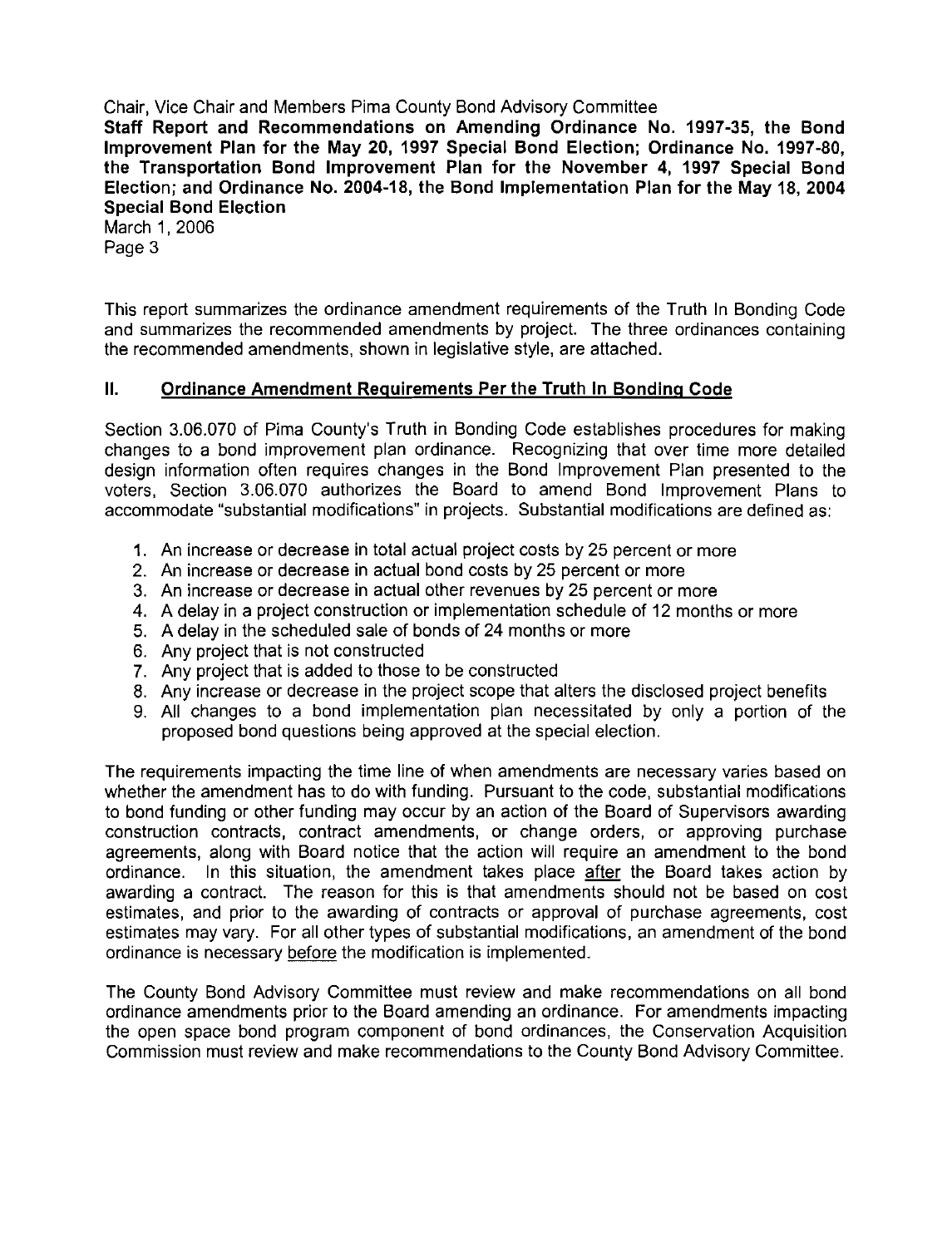Staff Report and Recommendations on Amending Ordinance No. **1997-35,** the Bond lmprovement Plan for the May **20, 1997** Special Bond Election; Ordinance No. **1997-80,**  the Transportation Bond lmprovement Plan for the November **4, 1997** Special Bond Election; and Ordinance No. **2004-18,** the Bond Implementation Plan for the May **18, 2004**  Special Bond Election

March 1, 2006 Page 3

This report summarizes the ordinance amendment requirements of the Truth In Bonding Code and summarizes the recommended amendments by project. The three ordinances containing the recommended amendments, shown in legislative style, are attached.

#### II. Ordinance Amendment Requirements Per the Truth In Bondinq Code

Section 3.06.070 of Pima County's Truth in Bonding Code establishes procedures for making changes to a bond improvement plan ordinance. Recognizing that over time more detailed design information often requires changes in the Bond lmprovement Plan presented to the voters, Section 3.06.070 authorizes the Board to amend Bond lmprovement Plans to accommodate "substantial modifications" in projects. Substantial modifications are defined as:

- **1.** An increase or decrease in total actual project costs by 25 percent or more
- 2. An increase or decrease in actual bond costs by 25 percent or more
- 3. An increase or decrease in actual other revenues by 25 percent or more
- 4. A delay in a project construction or implementation schedule of 12 months or more
- 5. A delay in the scheduled sale of bonds of 24 months or more
- 6. Any project that is not constructed
- 7. Any project that is added to those to be constructed
- 8. Any increase or decrease in the project scope that alters the disclosed project benefits
- 9. All changes to a bond implementation plan necessitated by only a portion of the proposed bond questions being approved at the special election.

The requirements impacting the time line of when amendments are necessary varies based on whether the amendment has to do with funding. Pursuant to the code, substantial modifications to bond funding or other funding may occur by an action of the Board of Supervisors awarding construction contracts, contract amendments, or change orders, or approving purchase agreements, along with Board notice that the action will require an amendment to the bond ordinance. In this situation, the amendment takes place **after** the Board takes action by awarding a contract. The reason for this is that amendments should not be based on cost estimates, and prior to the awarding of contracts or approval of purchase agreements, cost estimates may vary. For all other types of substantial modifications, an amendment of the bond ordinance is necessary before the modification is implemented.

The County Bond Advisory Committee must review and make recommendations on all bond ordinance amendments prior to the Board amending an ordinance. For amendments impacting the open space bond program component of bond ordinances, the Conservation Acquisition Commission must review and make recommendations to the County Bond Advisory Committee.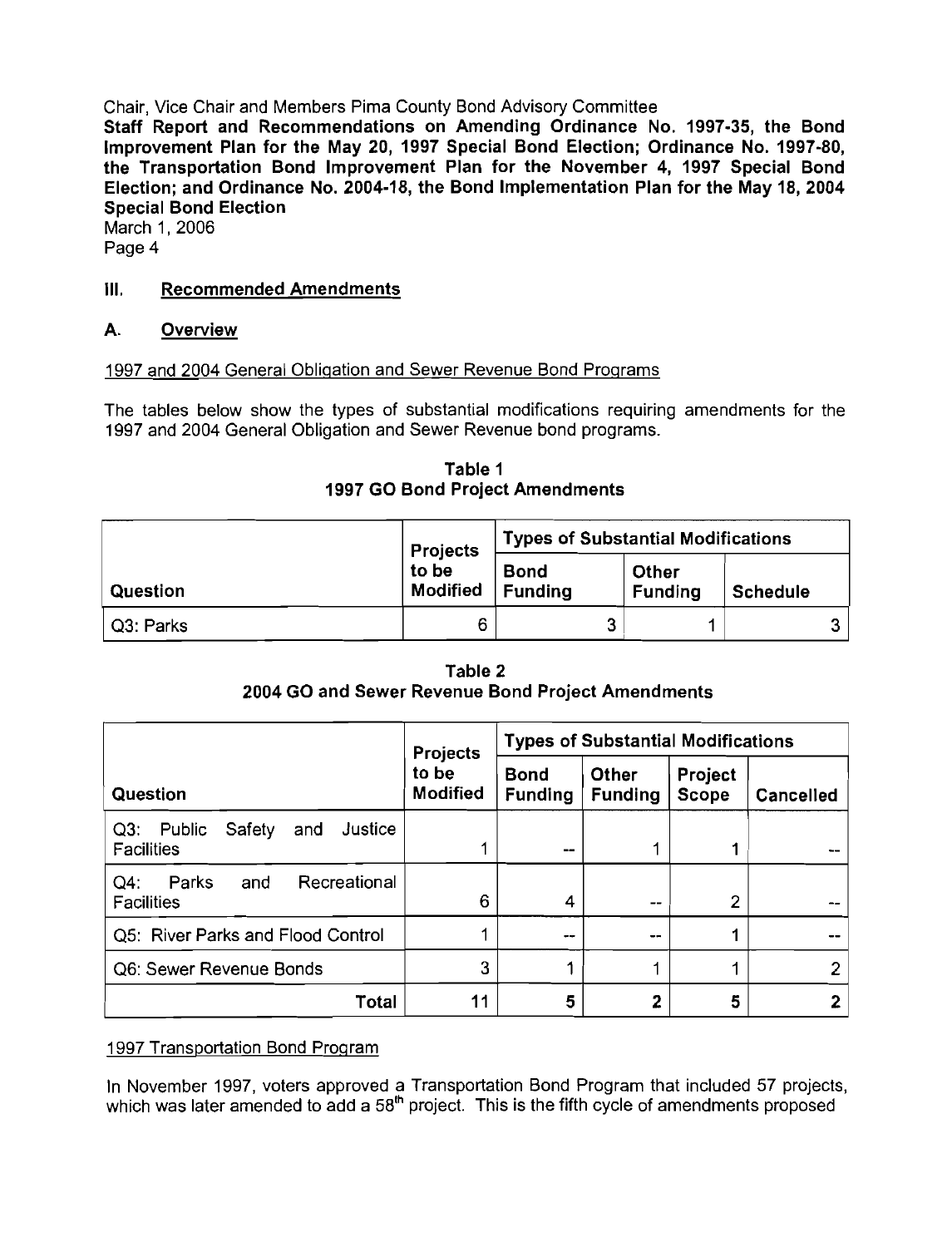Staff Report and Recommendations on Amending Ordinance No. **1997-35,** the Bond lmprovement Plan for the May **20, 1997** Special Bond Election; Ordinance No. **1997-80,**  the Transportation Bond Improvement Plan for the November **4, 1997** Special Bond Election; and Ordinance No. **2004-18,** the Bond Implementation Plan for the May **18, 2004**  Special Bond Election

March **1,** 2006 Page 4

### Ill. Recommended Amendments

#### A. Overview

#### **1997** and 2004 General Obliqation and Sewer Revenue Bond Proqrams

The tables below show the types of substantial modifications requiring amendments for the **1997** and 2004 General Obligation and Sewer Revenue bond programs.

|           | <b>Projects</b>          | <b>Types of Substantial Modifications</b> |                         |                 |  |
|-----------|--------------------------|-------------------------------------------|-------------------------|-----------------|--|
| Question  | to be<br><b>Modified</b> | Bond<br><b>Funding</b>                    | Other<br><b>Funding</b> | <b>Schedule</b> |  |
| Q3: Parks | 6                        | ≏                                         |                         |                 |  |

Table **1 1997** GO Bond Project Amendments

|                                                                    | <b>Projects</b>          | <b>Types of Substantial Modifications</b> |                                |                         |                  |
|--------------------------------------------------------------------|--------------------------|-------------------------------------------|--------------------------------|-------------------------|------------------|
| Question                                                           | to be<br><b>Modified</b> | <b>Bond</b><br><b>Funding</b>             | <b>Other</b><br><b>Funding</b> | Project<br><b>Scope</b> | <b>Cancelled</b> |
| Justice<br>Safety<br>$Q3$ :<br>Public<br>and<br><b>Facilities</b>  | 1                        | --                                        |                                |                         |                  |
| Recreational<br>$Q4$ :<br><b>Parks</b><br>and<br><b>Facilities</b> | 6                        | 4                                         | --                             | ◠                       |                  |
| Q5: River Parks and Flood Control                                  |                          | --                                        | $-1$                           |                         |                  |
| Q6: Sewer Revenue Bonds                                            | 3                        |                                           |                                |                         | ≘                |
| Total                                                              | 11                       | 5                                         | 2                              | 5                       | 2                |

Table **2 2004** GO and Sewer Revenue Bond Project Amendments

#### **1997** Transportation Bond Proqram

In November **1997,** voters approved a Transportation Bond Program that included **57** projects, which was later amended to add a 58<sup>th</sup> project. This is the fifth cycle of amendments proposed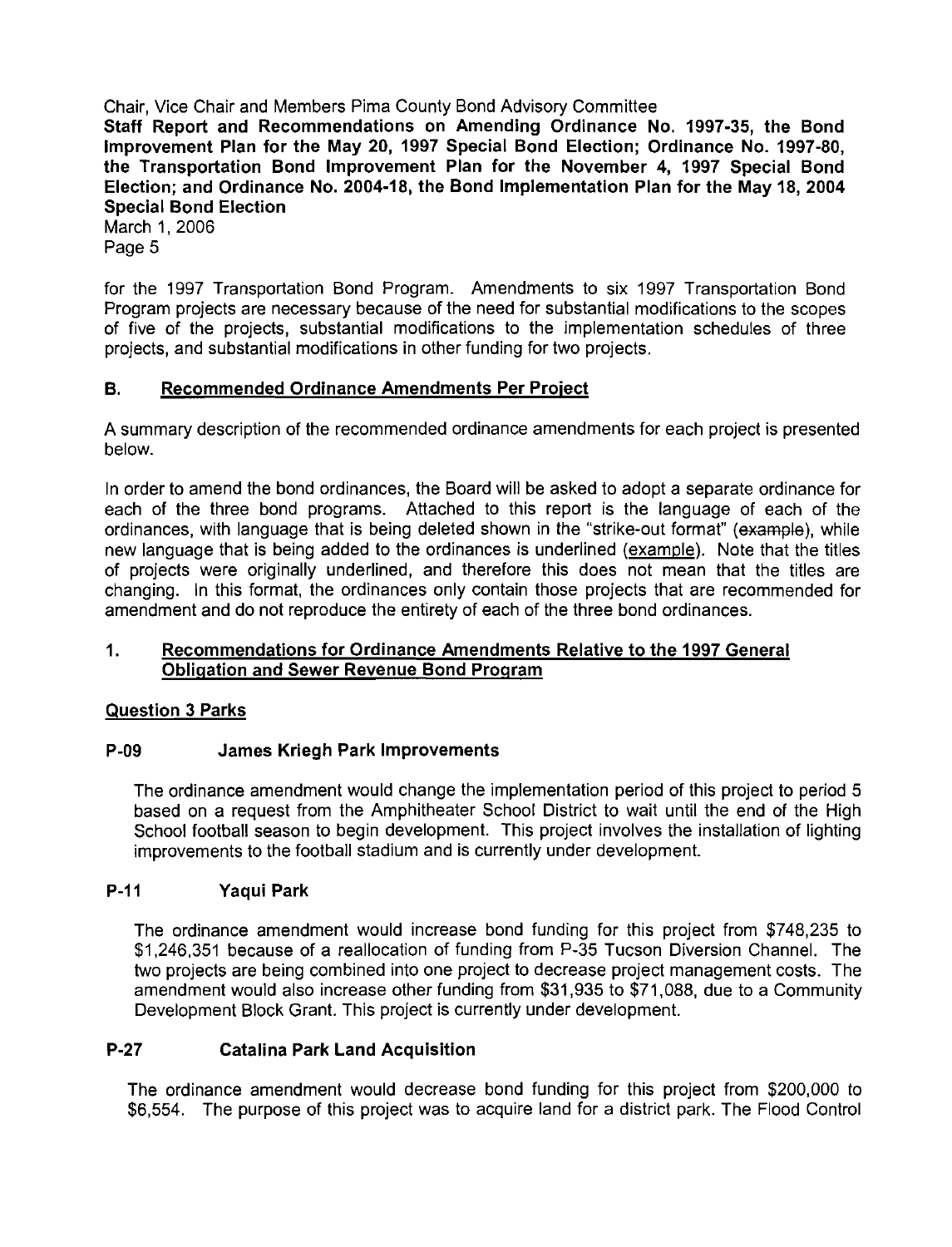Staff Report and Recommendations on Amending Ordinance No. 1997-35, the Bond lmprovement Plan for the May 20, 1997 Special Bond Election; Ordinance No. 1997-80, the Transportation Bond lmprovement Plan for the November 4, 1997 Special Bond Election; and Ordinance No. 2004-18, the Bond Implementation Plan for the May 18, 2004 Special Bond Election

March **1, 2006**  Page **5** 

for the **1997** Transportation Bond Program. Amendments to six **1997** Transportation Bond Program projects are necessary because of the need for substantial modifications to the scopes of five of the projects, substantial modifications to the implementation schedules of three projects, and substantial modifications in other funding for two projects.

#### B. Recommended Ordinance Amendments Per Proiect

A summary description of the recommended ordinance amendments for each project is presented below.

In order to amend the bond ordinances, the Board will be asked to adopt a separate ordinance for each of the three bond programs. Attached to this report is the language of each of the ordinances, with language that is being deleted shown in the "strike-out format" (example), while new language that is being added to the ordinances is underlined (example). Note that the titles of projects were originally underlined, and therefore this does not mean that the titles are changing. In this format, the ordinances only contain those projects that are recommended for amendment and do not reproduce the entirety of each of the three bond ordinances.

#### 1. Recommendations for Ordinance Amendments Relative to the 1997 General Obliqation and Sewer Revenue Bond Proqram

#### Question 3 Parks

#### P-09 James Kriegh Park Improvements

The ordinance amendment would change the implementation period of this project to period **5**  based on a request from the Amphitheater School District to wait until the end of the High School football season to begin development. This project involves the installation of lighting improvements to the football stadium and is currently under development.

#### P-11 Yaqui Park

The ordinance amendment would increase bond funding for this project from **\$748,235** to **\$1,246,351** because of a reallocation of funding from **P-35** Tucson Diversion Channel. The two projects are being combined into one project to decrease project management costs. The amendment would also increase other funding from **\$31,935** to **\$71,088,** due to a Community Development Block Grant. This project is currently under development.

#### P-27 Catalina Park Land Acquisition

The ordinance amendment would decrease bond funding for this project from **\$200,000** to **\$6,554.** The purpose of this project was to acquire land for a district park. The Flood Control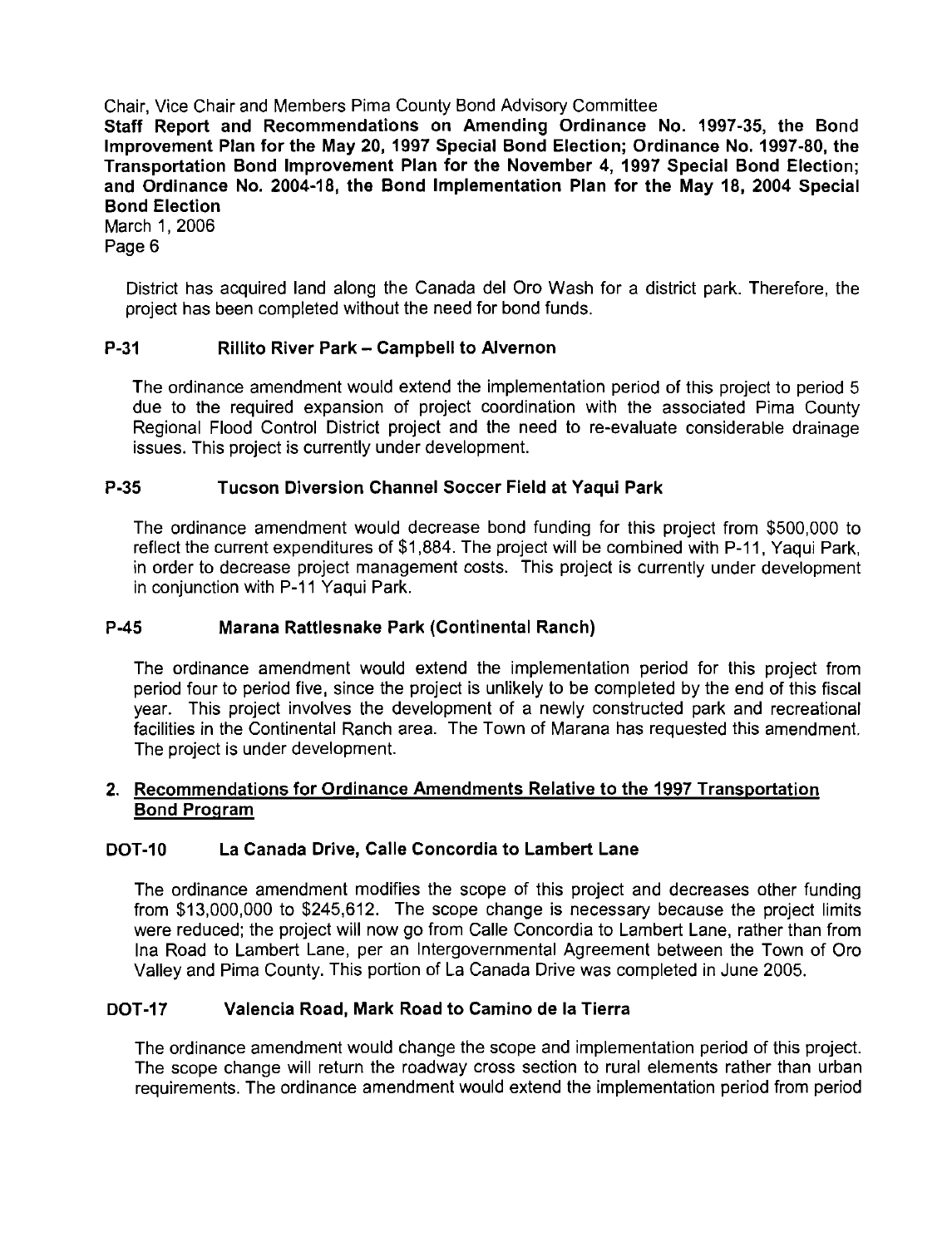Staff Report and Recommendations on Amending Ordinance No. 1997-35, the Bond lmprovement Plan for the May 20, 1997 Special Bond Election; Ordinance No. 1997-80, the Transportation Bond lmprovement Plan for the November 4, 1997 Special Bond Election; and Ordinance No. 2004-18, the Bond Implementation Plan for the May 18, 2004 Special Bond Election

March 1, 2006 Page 6

> District has acquired land along the Canada del Oro Wash for a district park. Therefore, the project has been completed without the need for bond funds.

#### P-31 Rillito River Park - Campbell to Alvernon

The ordinance amendment would extend the implementation period of this project to period 5 due to the required expansion of project coordination with the associated Pima County Regional Flood Control District project and the need to re-evaluate considerable drainage issues. This project is currently under development.

#### P-35 Tucson Diversion Channel Soccer Field at Yaqui Park

The ordinance amendment would decrease bond funding for this project from \$500,000 to reflect the current expenditures of \$1,884. The project will be combined with P-11, Yaqui Park, in order to decrease project management costs. This project is currently under development in conjunction with P-I I Yaqui Park.

#### P-45 Marana Rattlesnake Park (Continental Ranch)

The ordinance amendment would extend the implementation period for this project from period four to period five, since the project is unlikely to be completed by the end of this fiscal year. This project involves the development of a newly constructed park and recreational facilities in the Continental Ranch area. The Town of Marana has requested this amendment. The project is under development.

#### **2.** Recommendations for Ordinance Amendments Relative to the 1997 Transportation Bond Proqram

#### DOT-10 La Canada Drive, Calle Concordia to Lambert Lane

The ordinance amendment modifies the scope of this project and decreases other funding from \$13,000,000 to \$245,612. The scope change is necessary because the project limits were reduced; the project will now go from Calle Concordia to Lambert Lane, rather than from Ina Road to Lambert Lane, per an Intergovernmental Agreement between the Town of Oro Valley and Pima County. This portion of La Canada Drive was completed in June 2005.

#### DOT-17 Valencia Road, Mark Road to Camino de la Tierra

The ordinance amendment would change the scope and implementation period of this project. The scope change will return the roadway cross section to rural elements rather than urban requirements. The ordinance amendment would extend the implementation period from period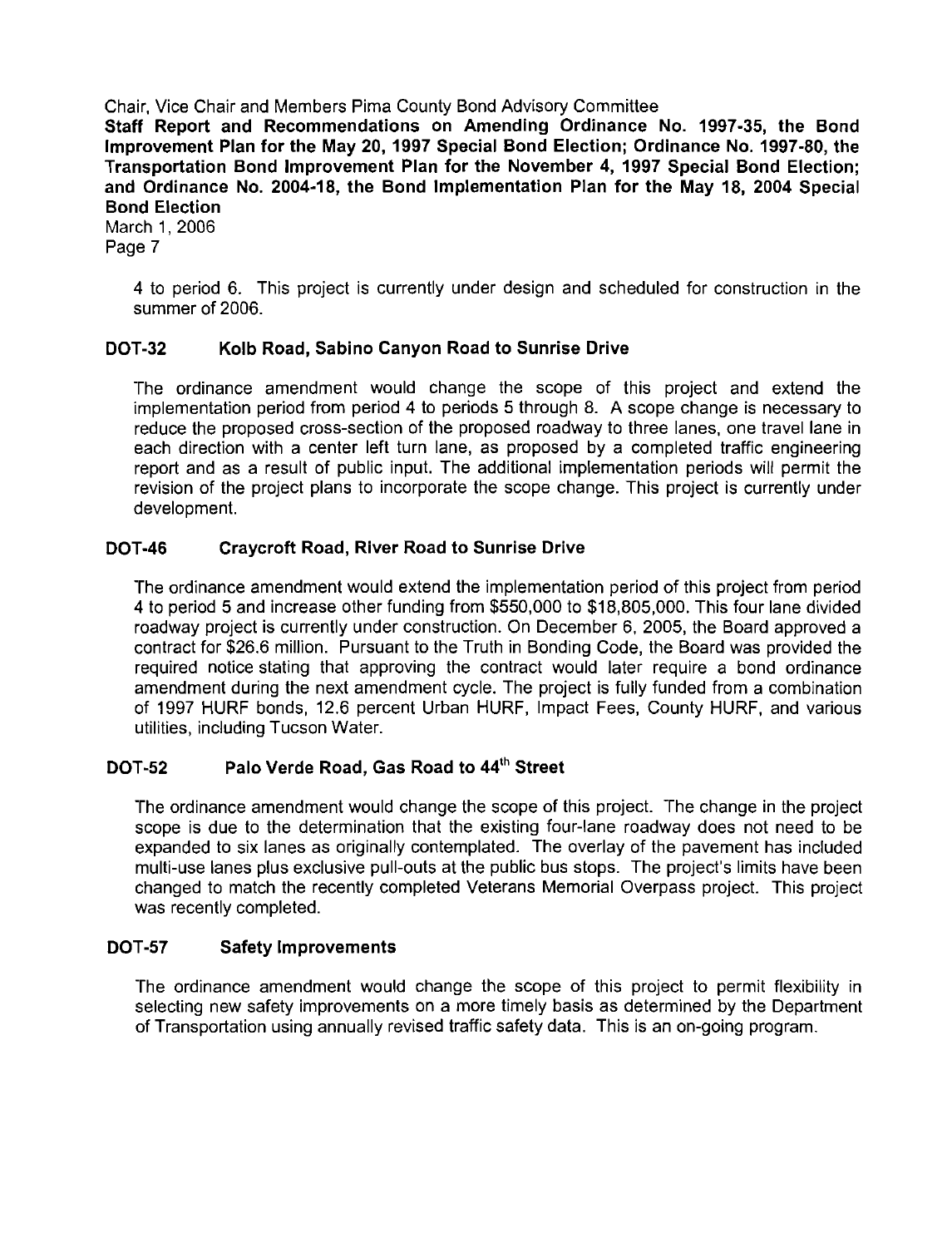Staff Report and Recommendations on Amending Ordinance No. 1997-35, the Bond lmprovement Plan for the May 20, 1997 Special Bond Election; Ordinance No. 1997-80, the Transportation Bond Improvement Plan for the November 4, 1997 Special Bond Election; and Ordinance No. 2004-18, the Bond Implementation Plan for the May 18, 2004 Special Bond Election

March 1, 2006 Page 7

> **4** to period 6. This project is currently under design and scheduled for construction in the summer of 2006.

#### DOT-32 Kolb Road, Sabino Canyon Road to Sunrise Drive

The ordinance amendment would change the scope of this project and extend the implementation period from period **4** to periods 5 through 8. A scope change is necessary to reduce the proposed cross-section of the proposed roadway to three lanes, one travel lane in each direction with a center left turn lane, as proposed by a completed traffic engineering report and as a result of public input. The additional implementation periods will permit the revision of the project plans to incorporate the scope change. This project is currently under development.

#### DOT-46 Craycroft Road, River Road to Sunrise Drive

'The ordinance amendment would extend the implementation period of this project from period **4** to period 5 and increase other funding from \$550,000 to \$18,805,000. This four lane divided roadway project is currently under construction. On December 6, 2005, the Board approved a contract for \$26.6 million. Pursuant to the Truth in Bonding Code, the Board was provided the required notice stating that approving the contract would later require a bond ordinance amendment during the next amendment cycle. The project is fully funded from a combination of 1997 HURF bonds, 12.6 percent Urban HURF, Impact Fees, County HURF, and various utilities, including Tucson Water.

#### DOT-52 Palo Verde Road, Gas Road to 44<sup>th</sup> Street

The ordinance amendment would change the scope of this project. The change in the project scope is due to the determination that the existing four-lane roadway does not need to be expanded to six lanes as originally contemplated. The overlay of the pavement has included multi-use lanes plus exclusive pull-outs at the public bus stops. The project's limits have been changed to match the recently completed Veterans Memorial Overpass project. This project was recently completed.

#### DOT-57 Safety Improvements

The ordinance amendment would change the scope of this project to permit flexibility in selecting new safety improvements on a more timely basis as determined by the Department of Transportation using annually revised traffic safety data. This is an on-going program.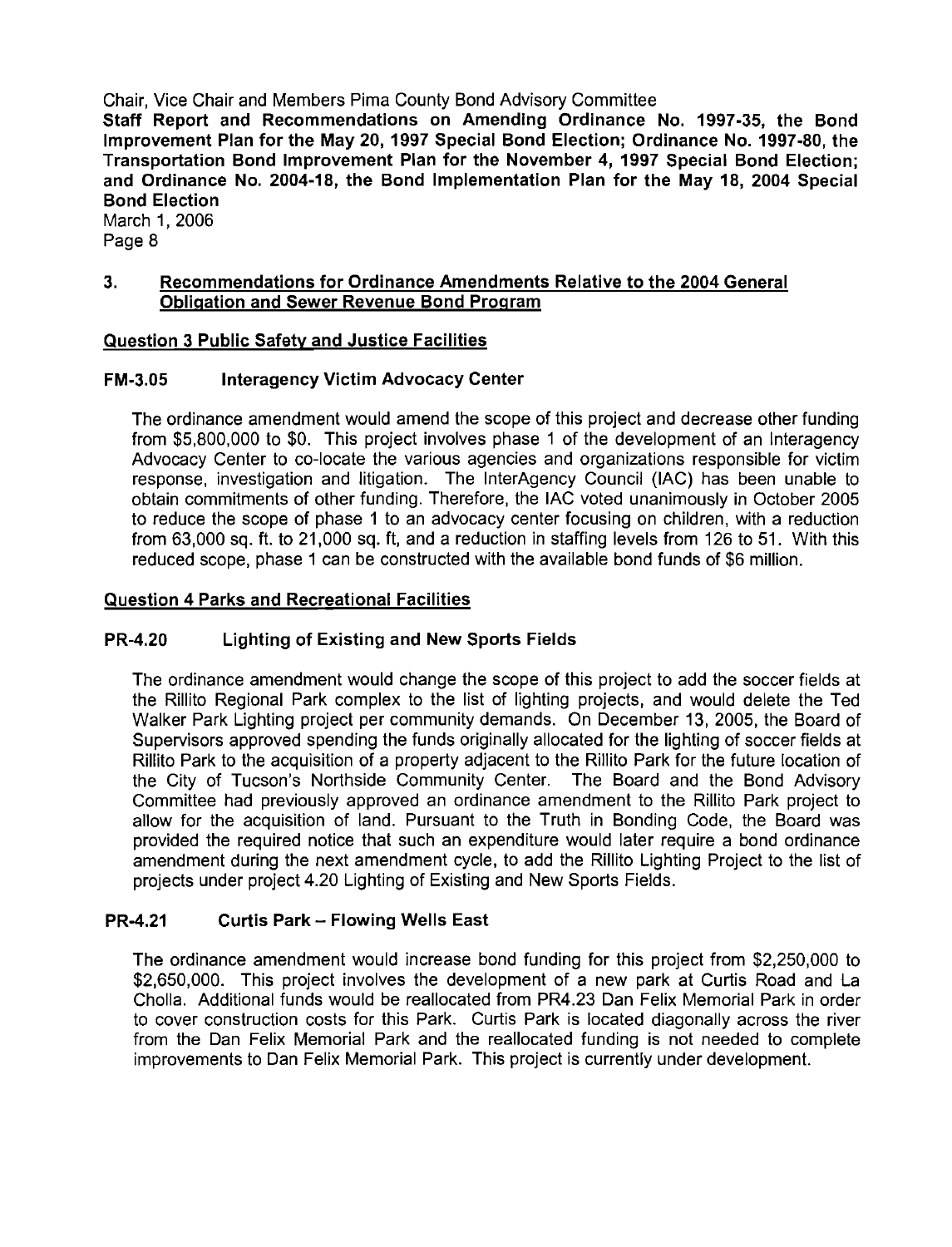Staff Report and Recommendations on Amending Ordinance No. 1997-35, the Bond lmprovement Plan for the May 20, 1997 Special Bond Election; Ordinance No. 1997-80, the Transportation Bond lmprovement Plan for the November 4, 1997 Special Bond Election; and Ordinance No. 2004-18, the Bond Implementation Plan for the May 18, 2004 Special Bond Election

March 1, 2006 Page 8

#### 3. Recommendations for Ordinance Amendments Relative to the 2004 General Obligation and Sewer Revenue Bond Program

#### Question 3 Public Safetv and Justice Facilities

#### FM-3.05 Interagency Victim Advocacy Center

The ordinance amendment would amend the scope of this project and decrease other funding from \$5,800,000 to \$0. This project involves phase 1 of the development of an lnteragency Advocacy Center to co-locate the various agencies and organizations responsible for victim response, investigation and litigation. The InterAgency Council (IAC) has been unable to obtain commitments of other funding. Therefore, the IAC voted unanimously in October 2005 to reduce the scope of phase 1 to an advocacy center focusing on children, with a reduction from 63,000 sq. ft. to 21,000 sq. ft, and a reduction in staffing levels from 126 to 51. With this reduced scope, phase 1 can be constructed with the available bond funds of \$6 million.

#### Question 4 Parks and Recreational Facilities

#### PR-4.20 Lighting of Existing and New Sports Fields

The ordinance amendment would change the scope of this project to add the soccer fields at the Rillito Regional Park complex to the list of lighting projects, and would delete the Ted Walker Park Lighting project per community demands. On December 13, 2005, the Board of Supervisors approved spending the funds originally allocated for the lighting of soccer fields at Rillito Park to the acquisition of a property adjacent to the Rillito Park for the future location of the City of Tucson's Northside Community Center. The Board and the Bond Advisory Committee had previously approved an ordinance amendment to the Rillito Park project to allow for the acquisition of land. Pursuant to the Truth in Bonding Code, the Board was provided the required notice that such an expenditure would later require a bond ordinance amendment during the next amendment cycle, to add the Rillito Lighting Project to the list of projects under project 4.20 Lighting of Existing and New Sports Fields.

#### PR-4.21 Curtis Park - Flowing Wells East

The ordinance amendment would increase bond funding for this project from \$2,250,000 to \$2,650,000. This project involves the development of a new park at Curtis Road and La Cholla. Additional funds would be reallocated from PR4.23 Dan Felix Memorial Park in order to cover construction costs for this Park. Curtis Park is located diagonally across the river from the Dan Felix Memorial Park and the reallocated funding is not needed to complete improvements to Dan Felix Memorial Park. This project is currently under development.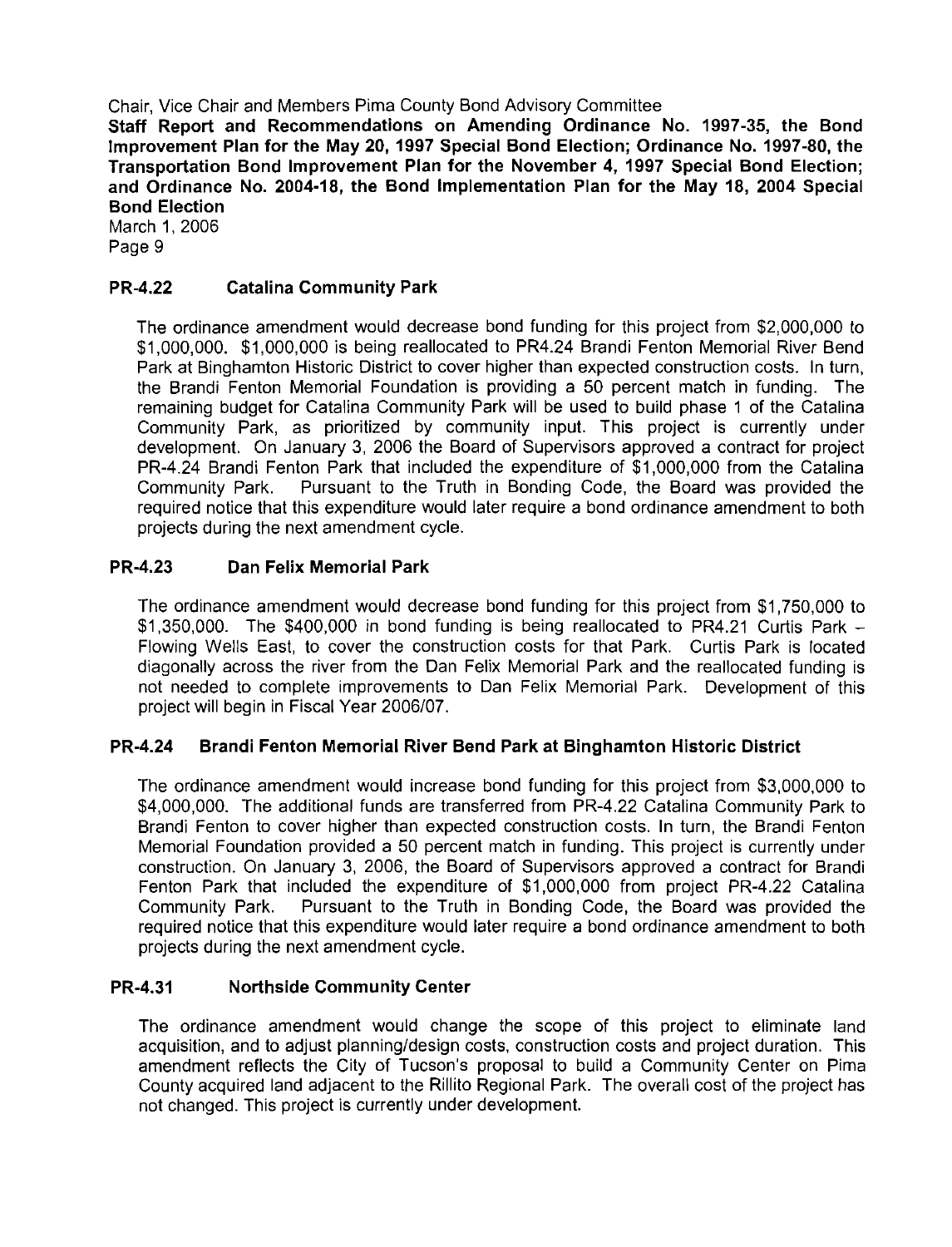Staff Report and Recommendations on Amending Ordinance No. 1997-35, the Bond lmprovement Plan for the May 20, 1997 Special Bond Election; Ordinance No. 1997-80, the Transportation Bond lmprovement Plan for the November 4, 1997 Special Bond Election; and Ordinance No. 2004-18, the Bond Implementation Plan for the May 18, 2004 Special Bond Election

March 1, 2006 Page 9

#### PR-4.22 Catalina Community Park

The ordinance amendment would decrease bond funding for this project from \$2,000,000 to \$1,000,000. \$1,000,000 is being reallocated to PR4.24 Brandi Fenton Memorial River Bend Park at Binghamton Historic District to cover higher than expected construction costs. In turn, the Brandi Fenton Memorial Foundation is providing a 50 percent match in funding. The remaining budget for Catalina Community Park will be used to build phase 1 of the Catalina Community Park, as prioritized by community input. This project is currently under development. On January 3, 2006 the Board of Supervisors approved a contract for project PR-4.24 Brandi Fenton Park that included the expenditure of \$1,000,000 from the Catalina<br>Community Park. Pursuant to the Truth in Bonding Code, the Board was provided the Pursuant to the Truth in Bonding Code, the Board was provided the required notice that this expenditure would later require a bond ordinance amendment to both projects during the next amendment cycle.

#### PR-4.23 Dan Felix Memorial Park

'The ordinance amendment would decrease bond funding for this project from \$1,750,000 to \$1,350,000. The \$400,000 in bond funding is being reallocated to PR4.21 Curtis Park -Flowing Wells East, to cover the construction costs for that Park. Curtis Park is located diagonally across the river from the Dan Felix Memorial Park and the reallocated funding is not needed to complete improvements to Dan Felix Memorial Park. Development of this project will begin in Fiscal Year 2006/07.

#### PR-4.24 Brandi Fenton Memorial River Bend Park at Binghamton Historic District

The ordinance amendment would increase bond funding for this project from \$3,000,000 to \$4,000,000. The additional funds are transferred from PR-4.22 Catalina Community Park to Brandi Fenton to cover higher than expected construction costs. In turn, the Brandi Fenton Memorial Foundation provided a 50 percent match in funding. This project is currently under construction. On January 3, 2006, the Board of Supervisors approved a contract for Brandi Fenton Park that included the expenditure of \$1,000,000 from project PR-4.22 Catalina Community Park. Pursuant to the Truth in Bonding Code, the Board was provided the required notice that this expenditure would later require a bond ordinance amendment to both projects during the next amendment cycle.

#### PR-4.31 Northside Community Center

The ordinance amendment would change the scope of this project to eliminate land acquisition, and to adjust planning/design costs, construction costs and project duration. This amendment reflects the City of Tucson's proposal to build a Community Center on Pima County acquired land adjacent to the Rillito Regional Park. The overall cost of the project has not changed. This project is currently under development.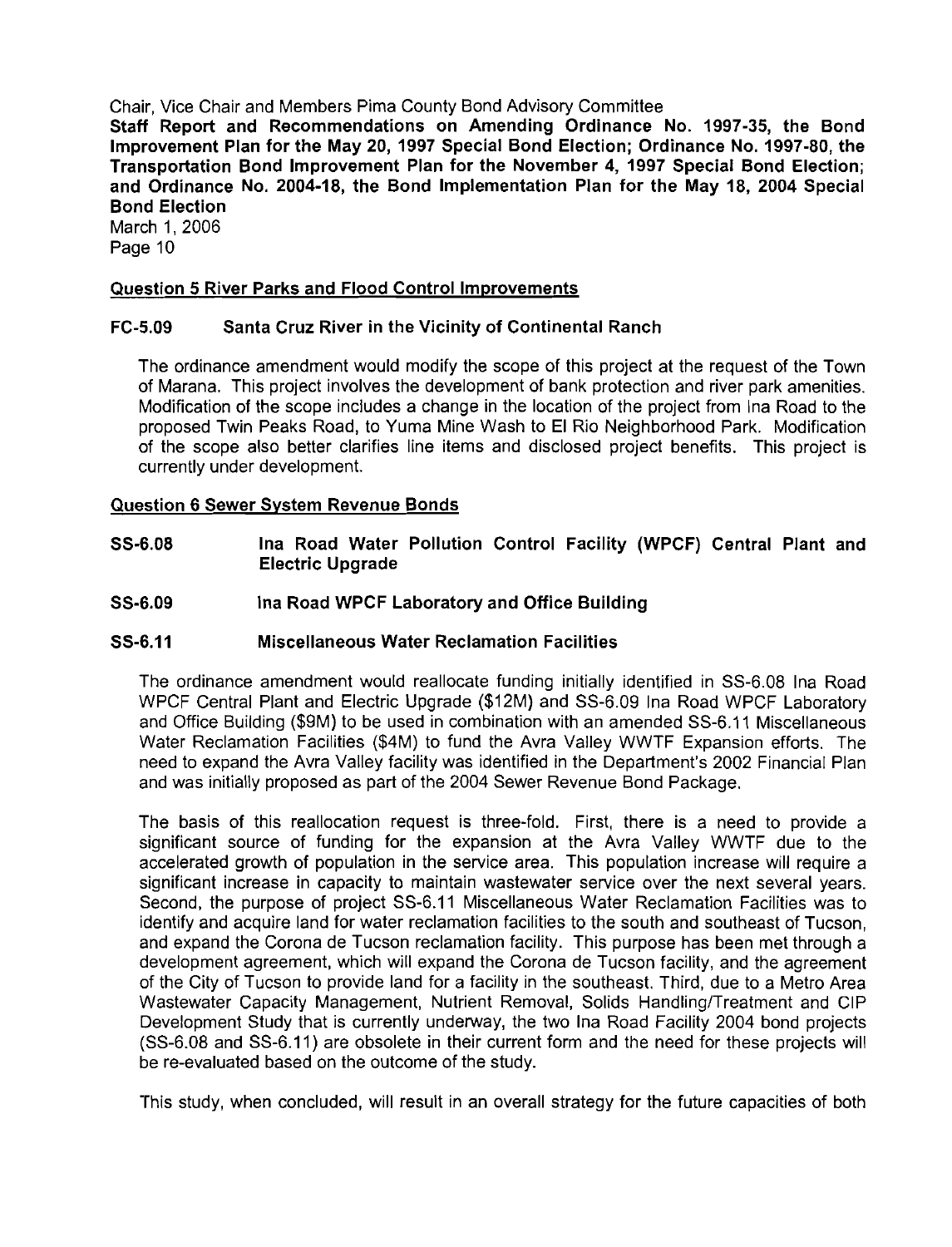Staff Report and Recommendations on Amending Ordinance No. 1997-35, the Bond lmprovement Plan for the May 20, 1997 Special Bond Election; Ordinance No. 1997-80, the Transportation Bond lmprovement Plan for the November 4, 1997 Special Bond Election; and Ordinance No. 2004-18, the Bond Implementation Plan for the May 18, 2004 Special Bond Election

March 1, 2006 Page 10

#### Question 5 River Parks and Flood Control Improvements

#### FC-5.09 Santa Cruz River in the Vicinity of Continental Ranch

The ordinance amendment would modify the scope of this project at the request of the Town of Marana. This project involves the development of bank protection and river park amenities. Modification of the scope includes a change in the location of the project from Ina Road to the proposed Twin Peaks Road, to Yuma Mine Wash to El Rio Neighborhood Park. Modification of the scope also better clarifies line items and disclosed project benefits. This project is currently under development.

#### Question 6 Sewer System Revenue Bonds

- SS-6.08 Ina Road Water Pollution Control Facility (WPCF) Central Plant and Electric Upgrade
- SS-6.09 **Ina Road WPCF Laboratory and Office Building**

#### SS-6.11 Miscellaneous Water Reclamation Facilities

The ordinance amendment would reallocate funding initially identified in SS-6.08 Ina Road WPCF Central Plant and Electric Upgrade (\$12M) and SS-6.09 Ina Road WPCF Laboratory and Office Building (\$9M) to be used in combination with an amended SS-6.11 Miscellaneous Water Reclamation Facilities (\$4M) to fund the Avra Valley WWTF Expansion efforts. The need to expand the Avra Valley facility was identified in the Department's 2002 Financial Plan and was initially proposed as part of the 2004 Sewer Revenue Bond Package.

The basis of this reallocation request is three-fold. First, there is a need to provide a significant source of funding for the expansion at the Avra Valley WWTF due to the accelerated growth of population in the service area. This population increase will require a significant increase in capacity to maintain wastewater service over the next several years. Second, the purpose of project SS-6.11 Miscellaneous Water Reclamation Facilities was to identify and acquire land for water reclamation facilities to the south and southeast of Tucson, and expand the Corona de Tucson reclamation facility. This purpose has been met through a development agreement, which will expand the Corona de Tucson facility, and the agreement of the City of Tucson to provide land for a facility in the southeast. Third, due to a Metro Area Wastewater Capacity Management, Nutrient Removal, Solids Handling/Treatment and CIP Development Study that is currently underway, the two Ina Road Facility 2004 bond projects (SS-6.08 and SS-6.11) are obsolete in their current form and the need for these projects will be re-evaluated based on the outcome of the study.

This study, when concluded, will result in an overall strategy for the future capacities of both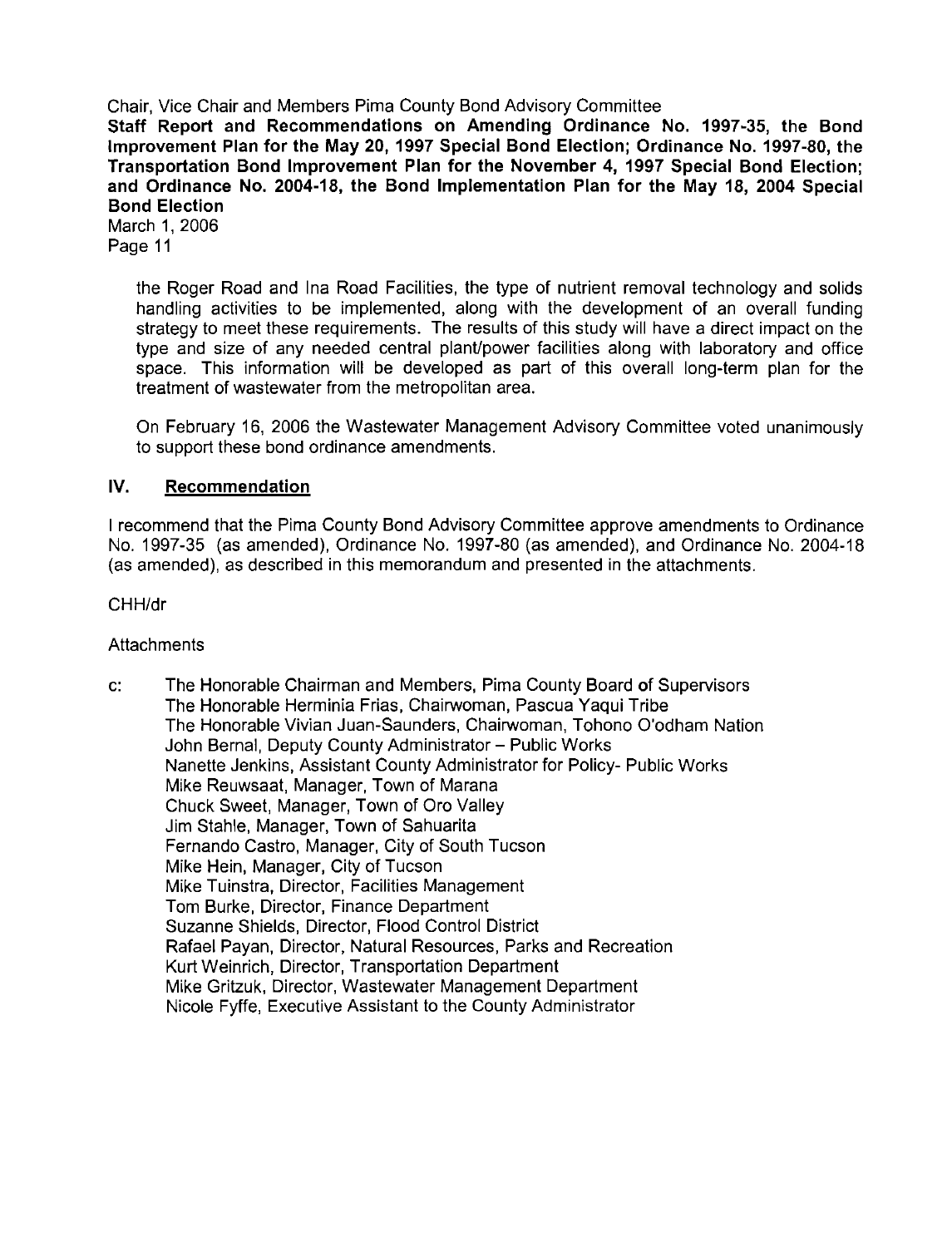Chair, Vice Chair and Members Pima County Bond Advisory Committee Staff Report and Recommendations on Amending Ordinance No. **1997-35,** the Bond lmprovement Plan for the May **20, 1997** Special Bond Election; Ordinance No. **1997-80,** the Transportation Bond lmprovement Plan for the November **4, 1997** Special Bond Election; and Ordinance No. **2004-18,** the Bond Implementation Plan for the May **18, 2004** Special Bond Election March **1, 2006** 

Page **11** 

the Roger Road and Ina Road Facilities, the type of nutrient removal technology and solids handling activities to be implemented, along with the development of an overall funding strategy to meet these requirements. The results of this study will have a direct impact on the type and size of any needed central plant/power facilities along with laboratory and office space. This information will be developed as part of this overall long-term plan for the treatment of wastewater from the metropolitan area.

On February **16, 2006** the Wastewater Management Advisory Committee voted unanimously to support these bond ordinance amendments.

#### IV. Recommendation

I recommend that the Pima County Bond Advisory Committee approve amendments to Ordinance No. **1997-35** (as amended), Ordinance No. **1997-80** (as amended), and Ordinance No. **2004-18**  (as amended), as described in this memorandum and presented in the attachments.

CHH/dr

**Attachments** 

c: The Honorable Chairman and Members, Pima County Board of Supervisors The Honorable Herminia Frias, Chairwoman, Pascua Yaqui Tribe The Honorable Vivian Juan-Saunders, Chairwoman, Tohono O'odham Nation John Bernal, Deputy County Administrator - Public Works Nanette Jenkins, Assistant County Administrator for Policy- Public Works Mike Reuwsaat, Manager, Town of Marana Chuck Sweet, Manager, Town of Oro Valley Jim Stahle, Manager, Town of Sahuarita Fernando Castro, Manager, City of South Tucson Mike Hein, Manager, City of Tucson Mike Tuinstra, Director, Facilities Management Tom Burke, Director, Finance Department Suzanne Shields, Director, Flood Control District Rafael Payan, Director, Natural Resources, Parks and Recreation Kurt Weinrich, Director, Transportation Department Mike Gritzuk, Director, Wastewater Management Department Nicole Fyffe, Executive Assistant to the County Administrator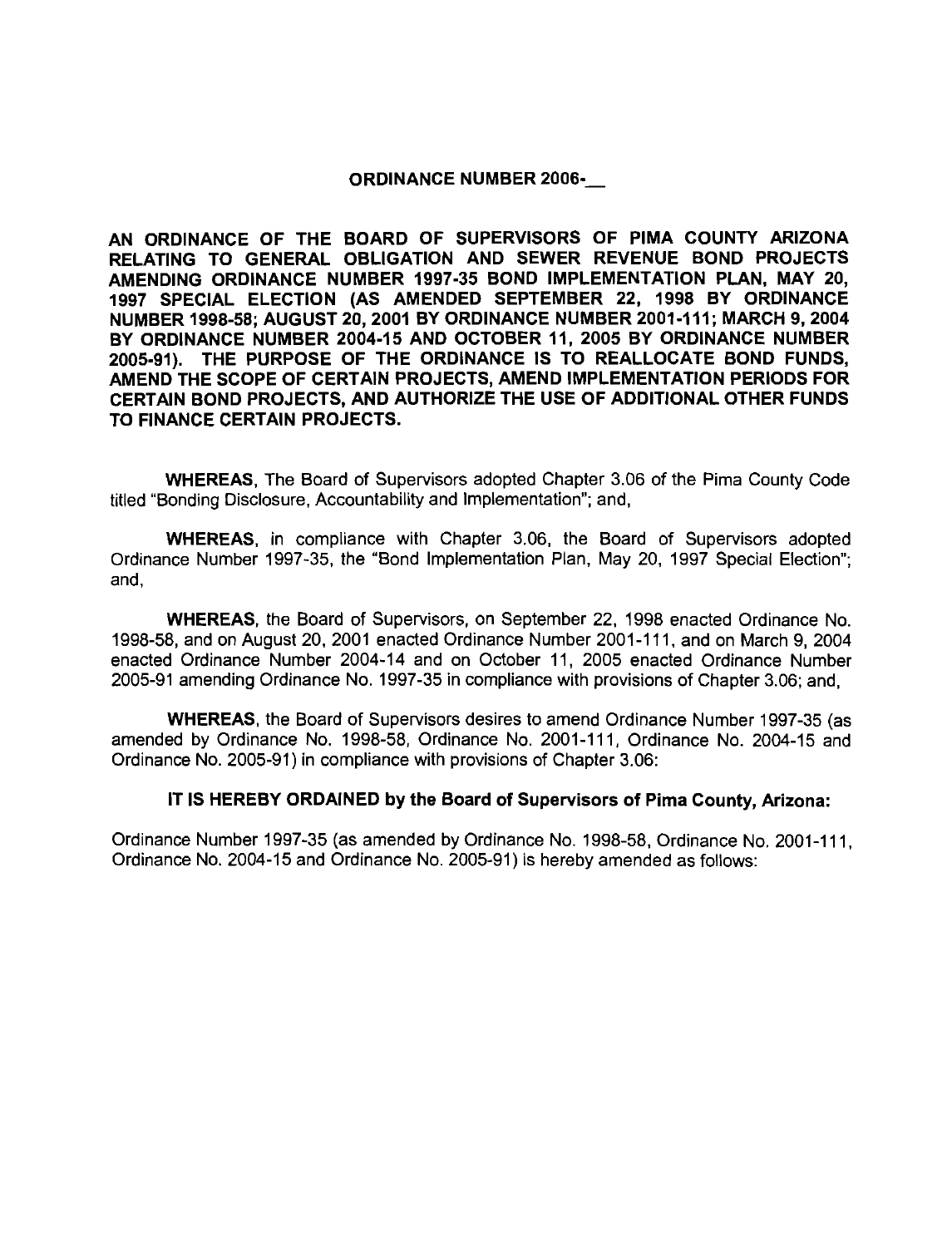#### ORDINANCE NUMBER **2006--**

AN ORDINANCE OF THE BOARD OF SUPERVISORS OF PlMA COUNTY ARIZONA RELATING TO GENERAL OBLIGATION AND SEWER REVENUE BOND PROJECTS AMENDING ORDINANCE NUMBER **1997-35** BOND IMPLEMENTATION PLAN, MAY **20, 1997** SPECIAL ELECTION (AS AMENDED SEPTEMBER **22, 1998** BY ORDINANCE NUMBER **1998-58;** AUGUST **20,2001** BY ORDINANCE NUMBER **2001-111;** MARCH **9,2004**  BY ORDINANCE NUMBER **2004-15** AND OCTOBER **11, 2005** BY ORDINANCE NUMBER **2005-91).** THE PURPOSE OF THE ORDINANCE IS TO REALLOCATE BOND FUNDS, AMEND THE SCOPE OF CERTAIN PROJECTS, AMEND IMPLEMENTATION PERIODS FOR CERTAIN BOND PROJECTS, AND AUTHORIZE THE USE OF ADDITIONAL OTHER FUNDS TO FINANCE CERTAIN PROJECTS.

WHEREAS, The Board of Supervisors adopted Chapter 3.06 of the Pima County Code titled "Bonding Disclosure, Accountability and Implementation"; and,

WHEREAS, in compliance with Chapter 3.06, the Board of Supervisors adopted Ordinance Number 1997-35, the "Bond Implementation Plan, May 20, 1997 Special Election"; and,

WHEREAS, the Board of Supervisors, on September 22, 1998 enacted Ordinance No. 1998-58, and on August 20, 2001 enacted Ordinance Number 2001-111, and on March 9, 2004 enacted Ordinance Number 2004-14 and on October 11, 2005 enacted Ordinance Number 2005-91 amending Ordinance No. 1997-35 in compliance with provisions of Chapter 3.06; and,

WHEREAS, the Board of Supervisors desires to amend Ordinance Number 1997-35 (as amended by Ordinance No. 1998-58, Ordinance No. 2001-111, Ordinance No. 2004-15 and Ordinance No. 2005-91) in compliance with provisions of Chapter 3.06:

#### IT IS HEREBY ORDAINED by the Board of Supervisors of Pima County, Arizona:

Ordinance Number 1997-35 (as amended by Ordinance No. 1998-58, Ordinance No. 2001-11 1, Ordinance No. 2004-15 and Ordinance No. 2005-91) is hereby amended as follows: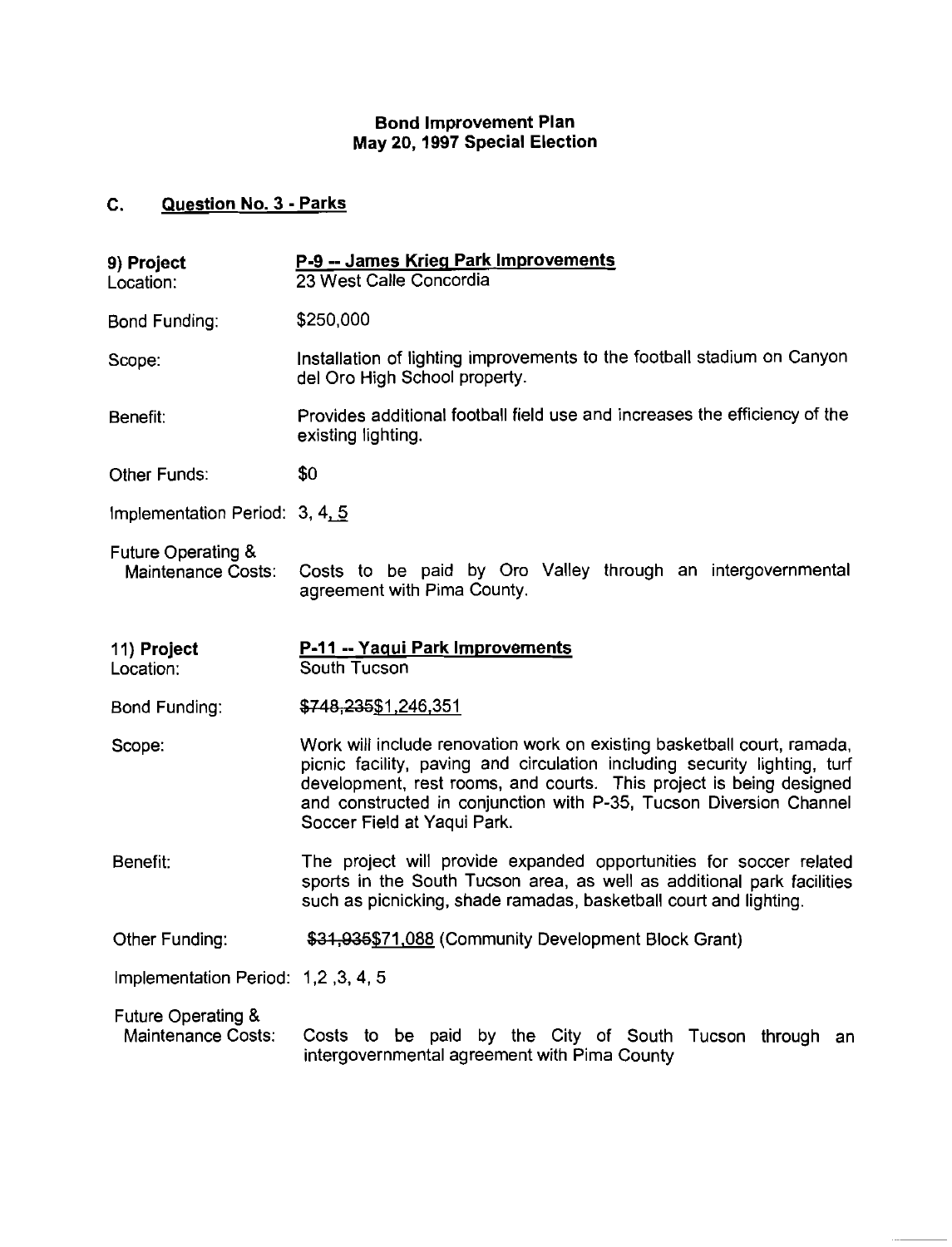#### Bond Improvement Plan May **20, 1997** Special Election

#### **C.** Question No. 3 - Parks

| 9) Project<br>Location:                                    | P-9 -- James Krieg Park Improvements<br>23 West Calle Concordia                                                                                                                                                                                                                                                                  |  |  |
|------------------------------------------------------------|----------------------------------------------------------------------------------------------------------------------------------------------------------------------------------------------------------------------------------------------------------------------------------------------------------------------------------|--|--|
| Bond Funding:                                              | \$250,000                                                                                                                                                                                                                                                                                                                        |  |  |
| Scope:                                                     | Installation of lighting improvements to the football stadium on Canyon<br>del Oro High School property.                                                                                                                                                                                                                         |  |  |
| Benefit:                                                   | Provides additional football field use and increases the efficiency of the<br>existing lighting.                                                                                                                                                                                                                                 |  |  |
| Other Funds:                                               | \$0                                                                                                                                                                                                                                                                                                                              |  |  |
| Implementation Period: 3, 4, 5                             |                                                                                                                                                                                                                                                                                                                                  |  |  |
| <b>Future Operating &amp;</b><br><b>Maintenance Costs:</b> | Costs to be paid by Oro Valley through an intergovernmental<br>agreement with Pima County.                                                                                                                                                                                                                                       |  |  |
| 11) Project<br>Location:                                   | P-11 -- Yaqui Park Improvements<br>South Tucson                                                                                                                                                                                                                                                                                  |  |  |
| <b>Bond Funding:</b>                                       | \$748,235\$1,246,351                                                                                                                                                                                                                                                                                                             |  |  |
| Scope:                                                     | Work will include renovation work on existing basketball court, ramada,<br>picnic facility, paving and circulation including security lighting, turf<br>development, rest rooms, and courts. This project is being designed<br>and constructed in conjunction with P-35, Tucson Diversion Channel<br>Soccer Field at Yaqui Park. |  |  |
| Benefit:                                                   | The project will provide expanded opportunities for soccer related<br>sports in the South Tucson area, as well as additional park facilities<br>such as picnicking, shade ramadas, basketball court and lighting.                                                                                                                |  |  |
| Other Funding:                                             | \$31,935\$71,088 (Community Development Block Grant)                                                                                                                                                                                                                                                                             |  |  |
| lmplementation Period: 1,2, 3, 4, 5                        |                                                                                                                                                                                                                                                                                                                                  |  |  |
| Future Operating &<br>Maintenance Costs:                   | Costs to be paid by the City of South Tucson through an<br>intergovernmental agreement with Pima County                                                                                                                                                                                                                          |  |  |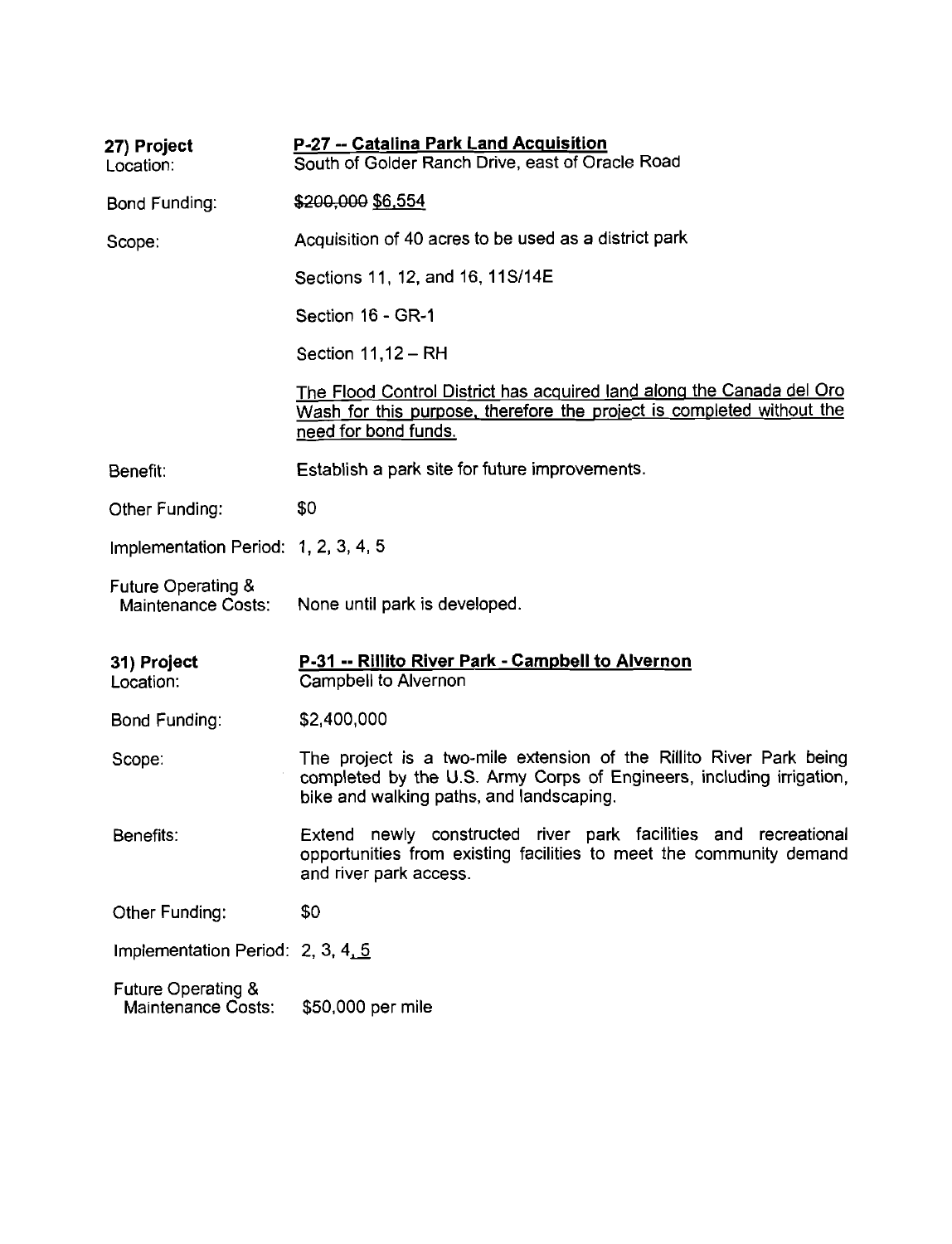| 27) Project<br>Location:                                   | P-27 -- Catalina Park Land Acquisition<br>South of Golder Ranch Drive, east of Oracle Road                                                                                              |
|------------------------------------------------------------|-----------------------------------------------------------------------------------------------------------------------------------------------------------------------------------------|
| Bond Funding:                                              | \$200,000 \$6,554                                                                                                                                                                       |
| Scope:                                                     | Acquisition of 40 acres to be used as a district park                                                                                                                                   |
|                                                            | Sections 11, 12, and 16, 11S/14E                                                                                                                                                        |
|                                                            | Section 16 - GR-1                                                                                                                                                                       |
|                                                            | Section $11,12 - RH$                                                                                                                                                                    |
|                                                            | The Flood Control District has acquired land along the Canada del Oro<br>Wash for this purpose, therefore the project is completed without the<br>need for bond funds.                  |
| Benefit:                                                   | Establish a park site for future improvements.                                                                                                                                          |
| Other Funding:                                             | \$0                                                                                                                                                                                     |
| Implementation Period: 1, 2, 3, 4, 5                       |                                                                                                                                                                                         |
| <b>Future Operating &amp;</b><br><b>Maintenance Costs:</b> | None until park is developed.                                                                                                                                                           |
| 31) Project<br>Location:                                   | P-31 -- Rillito River Park - Campbell to Alvernon<br>Campbell to Alvernon                                                                                                               |
| Bond Funding:                                              | \$2,400,000                                                                                                                                                                             |
| Scope:                                                     | The project is a two-mile extension of the Rillito River Park being<br>completed by the U.S. Army Corps of Engineers, including irrigation,<br>bike and walking paths, and landscaping. |
| Benefits:                                                  | Extend newly constructed river park facilities and recreational<br>opportunities from existing facilities to meet the community demand<br>and river park access.                        |
| Other Funding:                                             | \$0                                                                                                                                                                                     |
| Implementation Period: 2, 3, 4, 5                          |                                                                                                                                                                                         |
| <b>Future Operating &amp;</b><br><b>Maintenance Costs:</b> | \$50,000 per mile                                                                                                                                                                       |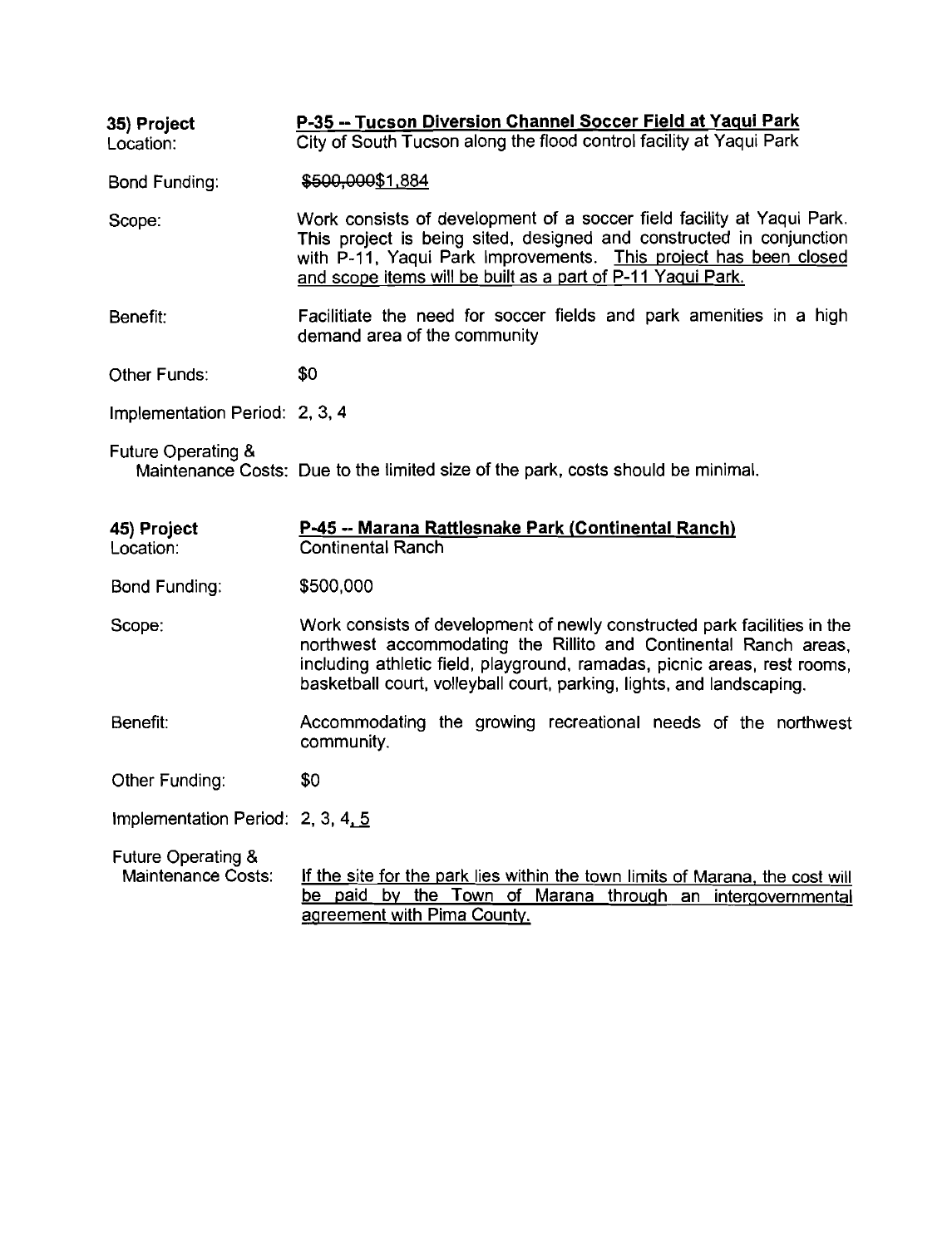| 35) Project<br>Location:                            | P-35 -- Tucson Diversion Channel Soccer Field at Yaqui Park<br>City of South Tucson along the flood control facility at Yaqui Park                                                                                                                                                                |  |
|-----------------------------------------------------|---------------------------------------------------------------------------------------------------------------------------------------------------------------------------------------------------------------------------------------------------------------------------------------------------|--|
| <b>Bond Funding:</b>                                | \$500,000\$1,884                                                                                                                                                                                                                                                                                  |  |
| Scope:                                              | Work consists of development of a soccer field facility at Yaqui Park.<br>This project is being sited, designed and constructed in conjunction<br>with P-11, Yaqui Park Improvements. This project has been closed<br>and scope items will be built as a part of P-11 Yaqui Park.                 |  |
| Benefit:                                            | Facilitiate the need for soccer fields and park amenities in a high<br>demand area of the community                                                                                                                                                                                               |  |
| Other Funds:                                        | \$0                                                                                                                                                                                                                                                                                               |  |
| Implementation Period: 2, 3, 4                      |                                                                                                                                                                                                                                                                                                   |  |
| Future Operating &                                  | Maintenance Costs: Due to the limited size of the park, costs should be minimal.                                                                                                                                                                                                                  |  |
| 45) Project<br>Location:                            | <b>P-45 -- Marana Rattlesnake Park (Continental Ranch)</b><br><b>Continental Ranch</b>                                                                                                                                                                                                            |  |
| Bond Funding:                                       | \$500,000                                                                                                                                                                                                                                                                                         |  |
| Scope:                                              | Work consists of development of newly constructed park facilities in the<br>northwest accommodating the Rillito and Continental Ranch areas,<br>including athletic field, playground, ramadas, picnic areas, rest rooms,<br>basketball court, volleyball court, parking, lights, and landscaping. |  |
| Benefit:                                            | Accommodating the growing recreational needs of the northwest<br>community.                                                                                                                                                                                                                       |  |
| Other Funding:                                      | \$0                                                                                                                                                                                                                                                                                               |  |
| Implementation Period: $2, 3, 4, 5$                 |                                                                                                                                                                                                                                                                                                   |  |
| <b>Future Operating &amp;</b><br>Maintenance Costs: | If the site for the park lies within the town limits of Marana, the cost will<br>be paid by the Town of Marana through an intergovernmental<br>agreement with Pima County.                                                                                                                        |  |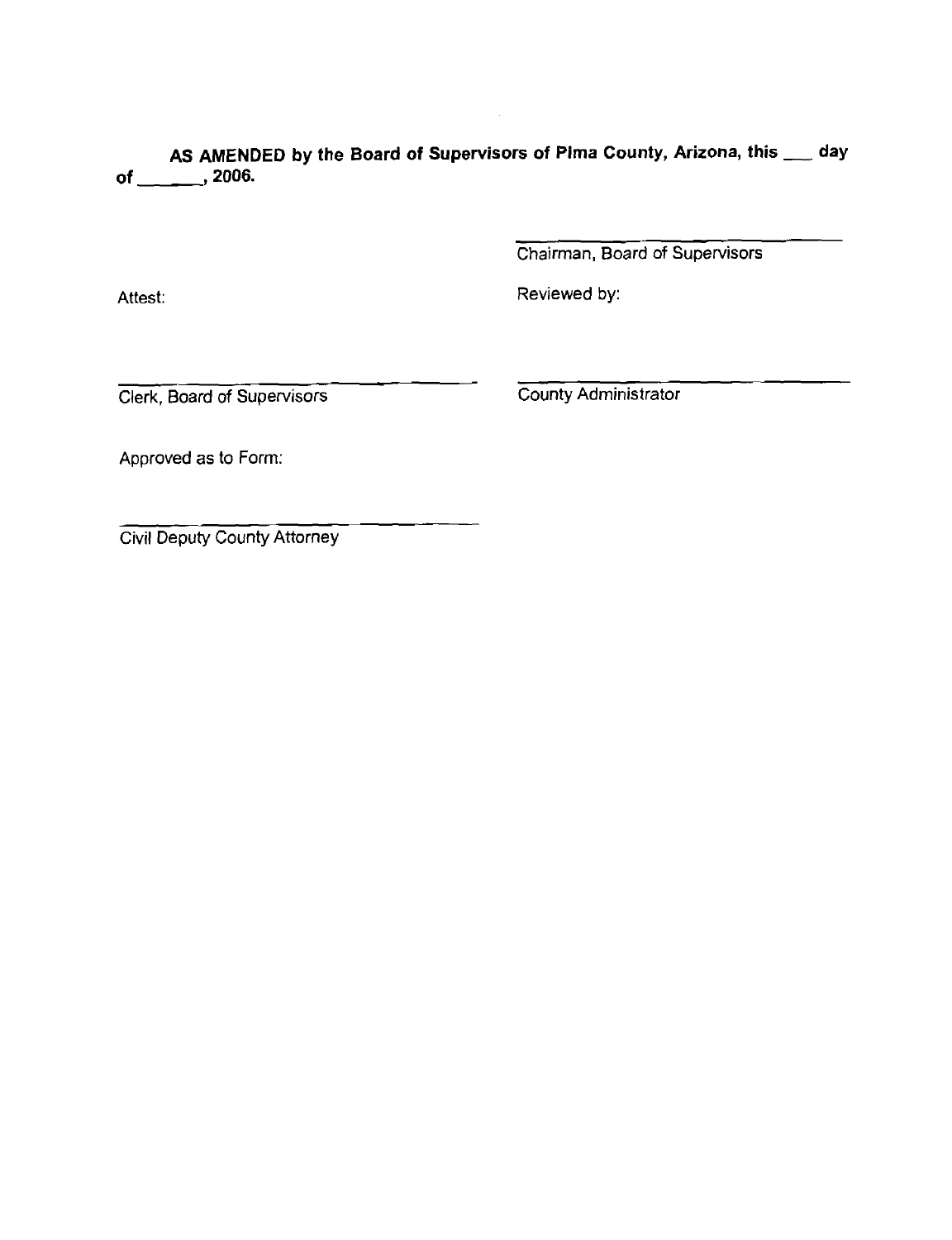AS AMENDED by the Board of Supervisors of Pima County, Arizona, this **\_\_\_** day of \_\_\_\_\_\_\_\_\_, 2006.

Chairman, Board of Supervisors

Attest:

Reviewed by:

Clerk, Board of Supervisors County Administrator

Approved as to Form:

Civil Deputy County Attorney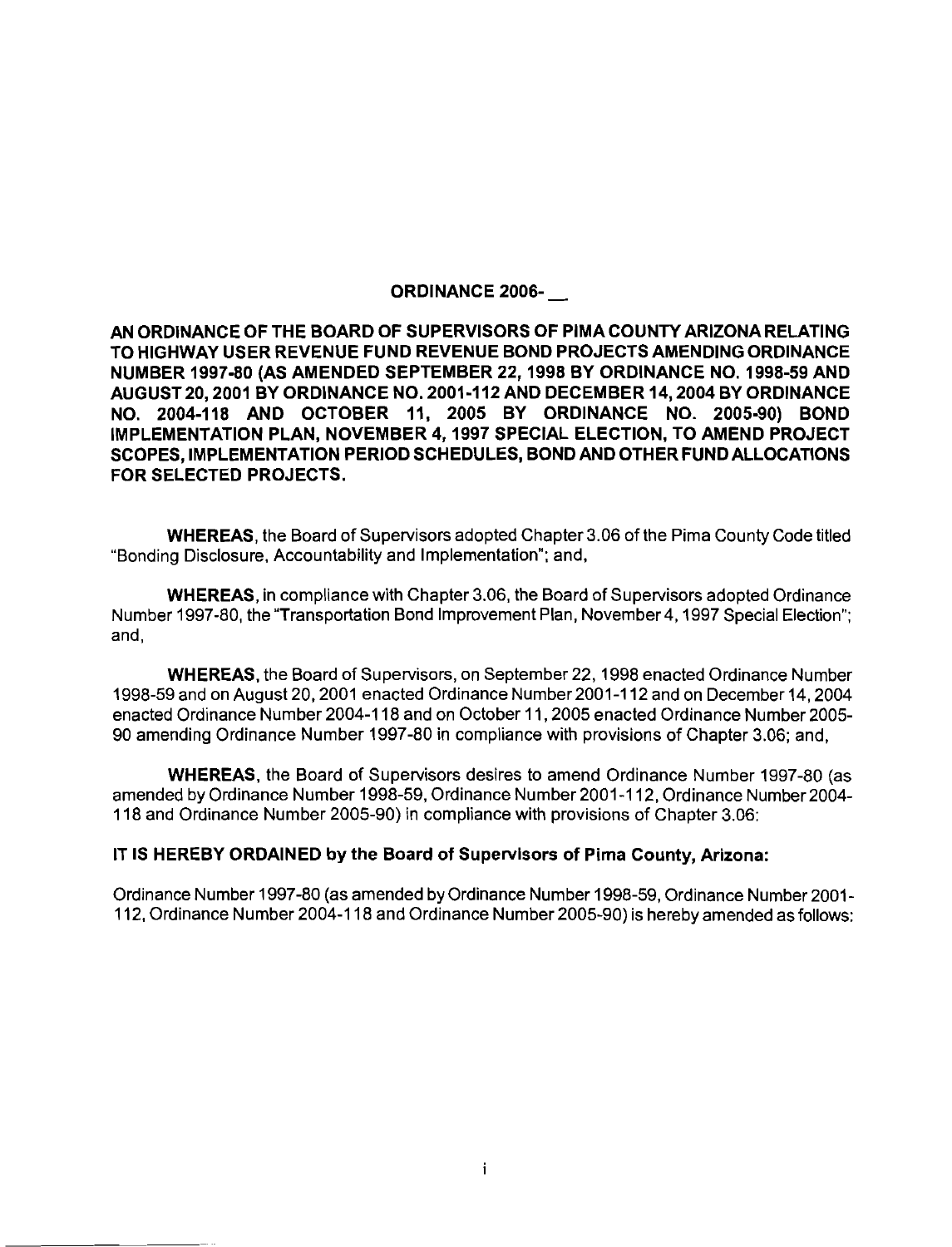#### ORDINANCE 2006-

AN ORDINANCE OF THE BOARD OF SUPERVISORS OF PlMA COUNTY ARIZONA RELATING TO HIGHWAY USER REVENUE FUND REVENUE BOND PROJECTS AMENDING ORDINANCE NUMBER 1997-80 (AS AMENDED SEPTEMBER 22,1998 BY ORDINANCE NO. 1998-59 AND AUGUST20,2001 BY ORDINANCE NO. 2001-112 AND DECEMBER 14,2004 BY ORDINANCE NO. 2004-118 AND OCTOBER 11, 2005 BY ORDINANCE NO. 2005-90) BOND IMPLEMENTATION PLAN, NOVEMBER 4,1997 SPECIAL ELECTION, TO AMEND PROJECT SCOPES, IMPLEMENTATION PERIOD SCHEDULES, BOND AND OTHER FUND ALLOCATIONS FOR SELECTED PROJECTS.

WHEREAS, the Board of Supervisors adopted Chapter 3.06 of the Pima County Code titled "Bonding Disclosure, Accountability and Implementation"; and,

WHEREAS, in compliance with Chapter 3.06, the Board of Supervisors adopted Ordinance Number 1997-80, the "Transportation Bond Improvement Plan, November4,1997 Special Election"; and,

WHEREAS, the Board of Supervisors, on September 22,1998 enacted Ordinance Number 1998-59 and on August 20,2001 enacted Ordinance Number2001-112 and on December 14,2004 enacted Ordinance Number 2004-1 18 and on October 11,2005 enacted Ordinance Number 2005- 90 amending Ordinance Number 1997-80 in compliance with provisions of Chapter 3.06; and,

WHEREAS, the Board of Supervisors desires to amend Ordinance Number 1997-80 (as amended by Ordinance Number 1998-59, Ordinance Number 2001-1 12, Ordinance Number2004- 118 and Ordinance Number 2005-90) in compliance with provisions of Chapter 3.06:

#### IT IS HEREBY ORDAINED by the Board of Supervisors of Pima County, Arizona:

Ordinance Number 1997-80 (as amended by Ordinance Number 1998-59, Ordinance Number 2001- 112, Ordinance Number 2004-1 18 and Ordinance Number 2005-90) is hereby amended asfollows: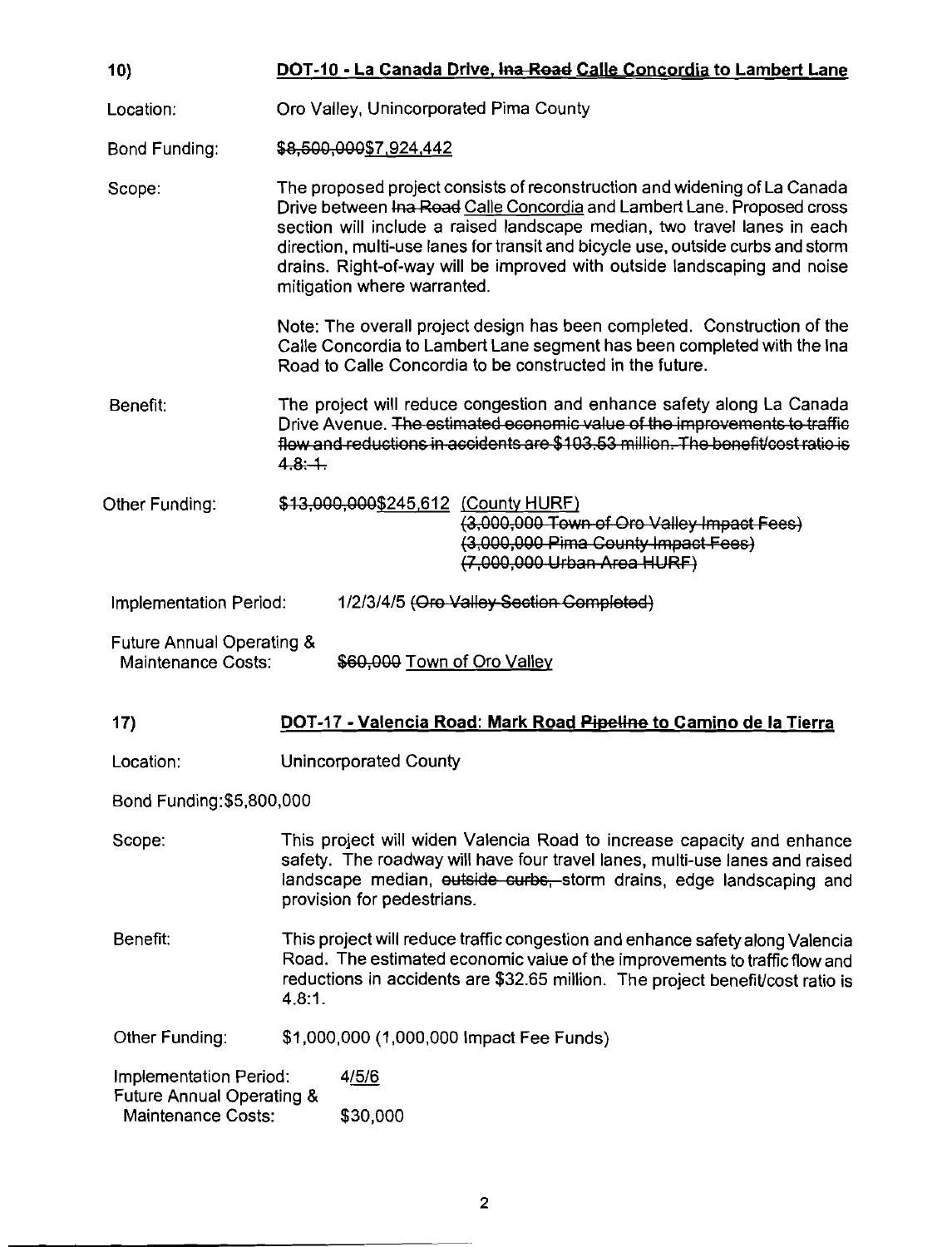| 10)                                                               |                                                                                                                                                                                                                                                            | DOT-10 - La Canada Drive, Ina Road Calle Concordia to Lambert Lane                                                                                                                                                                                                                                                                                                                                                             |  |
|-------------------------------------------------------------------|------------------------------------------------------------------------------------------------------------------------------------------------------------------------------------------------------------------------------------------------------------|--------------------------------------------------------------------------------------------------------------------------------------------------------------------------------------------------------------------------------------------------------------------------------------------------------------------------------------------------------------------------------------------------------------------------------|--|
| Location:                                                         |                                                                                                                                                                                                                                                            | Oro Valley, Unincorporated Pima County                                                                                                                                                                                                                                                                                                                                                                                         |  |
| <b>Bond Funding:</b>                                              |                                                                                                                                                                                                                                                            | \$8,500,000\$7,924,442                                                                                                                                                                                                                                                                                                                                                                                                         |  |
| Scope:                                                            |                                                                                                                                                                                                                                                            | The proposed project consists of reconstruction and widening of La Canada<br>Drive between Ina Road Calle Concordia and Lambert Lane. Proposed cross<br>section will include a raised landscape median, two travel lanes in each<br>direction, multi-use lanes for transit and bicycle use, outside curbs and storm<br>drains. Right-of-way will be improved with outside landscaping and noise<br>mitigation where warranted. |  |
|                                                                   |                                                                                                                                                                                                                                                            | Note: The overall project design has been completed. Construction of the<br>Calle Concordia to Lambert Lane segment has been completed with the Ina<br>Road to Calle Concordia to be constructed in the future.                                                                                                                                                                                                                |  |
| Benefit:                                                          | 4.8:4.                                                                                                                                                                                                                                                     | The project will reduce congestion and enhance safety along La Canada<br>Drive Avenue. The estimated economic value of the improvements to traffic<br>flow and reductions in accidents are \$103.53 million. The benefit/cost ratio is                                                                                                                                                                                         |  |
| Other Funding:                                                    |                                                                                                                                                                                                                                                            | \$13,000,000\$245,612 (County HURF)<br>(3,000,000 Town of Oro Valley Impact Fees)<br>(3,000,000 Pima County Impact Fees)<br>$(7,000,000$ Urban Area HURF)                                                                                                                                                                                                                                                                      |  |
| Implementation Period:                                            |                                                                                                                                                                                                                                                            | 1/2/3/4/5 (Oro Valley Section Completed)                                                                                                                                                                                                                                                                                                                                                                                       |  |
| Future Annual Operating &<br>Maintenance Costs:                   |                                                                                                                                                                                                                                                            | \$60,000 Town of Oro Valley                                                                                                                                                                                                                                                                                                                                                                                                    |  |
| 17)                                                               |                                                                                                                                                                                                                                                            | DOT-17 - Valencia Road: Mark Road Pipeline to Camino de la Tierra                                                                                                                                                                                                                                                                                                                                                              |  |
| Location:                                                         |                                                                                                                                                                                                                                                            | <b>Unincorporated County</b>                                                                                                                                                                                                                                                                                                                                                                                                   |  |
| Bond Funding: \$5,800,000                                         |                                                                                                                                                                                                                                                            |                                                                                                                                                                                                                                                                                                                                                                                                                                |  |
| Scope:                                                            | This project will widen Valencia Road to increase capacity and enhance<br>safety. The roadway will have four travel lanes, multi-use lanes and raised<br>landscape median, outside curbs, storm drains, edge landscaping and<br>provision for pedestrians. |                                                                                                                                                                                                                                                                                                                                                                                                                                |  |
| Benefit:                                                          | This project will reduce traffic congestion and enhance safety along Valencia<br>Road. The estimated economic value of the improvements to traffic flow and<br>reductions in accidents are \$32.65 million. The project benefit/cost ratio is<br>4.8.1.    |                                                                                                                                                                                                                                                                                                                                                                                                                                |  |
| Other Funding:                                                    |                                                                                                                                                                                                                                                            | \$1,000,000 (1,000,000 Impact Fee Funds)                                                                                                                                                                                                                                                                                                                                                                                       |  |
| Implementation Period:                                            |                                                                                                                                                                                                                                                            | 4/5/6                                                                                                                                                                                                                                                                                                                                                                                                                          |  |
| <b>Future Annual Operating &amp;</b><br><b>Maintenance Costs:</b> |                                                                                                                                                                                                                                                            | \$30,000                                                                                                                                                                                                                                                                                                                                                                                                                       |  |
|                                                                   |                                                                                                                                                                                                                                                            |                                                                                                                                                                                                                                                                                                                                                                                                                                |  |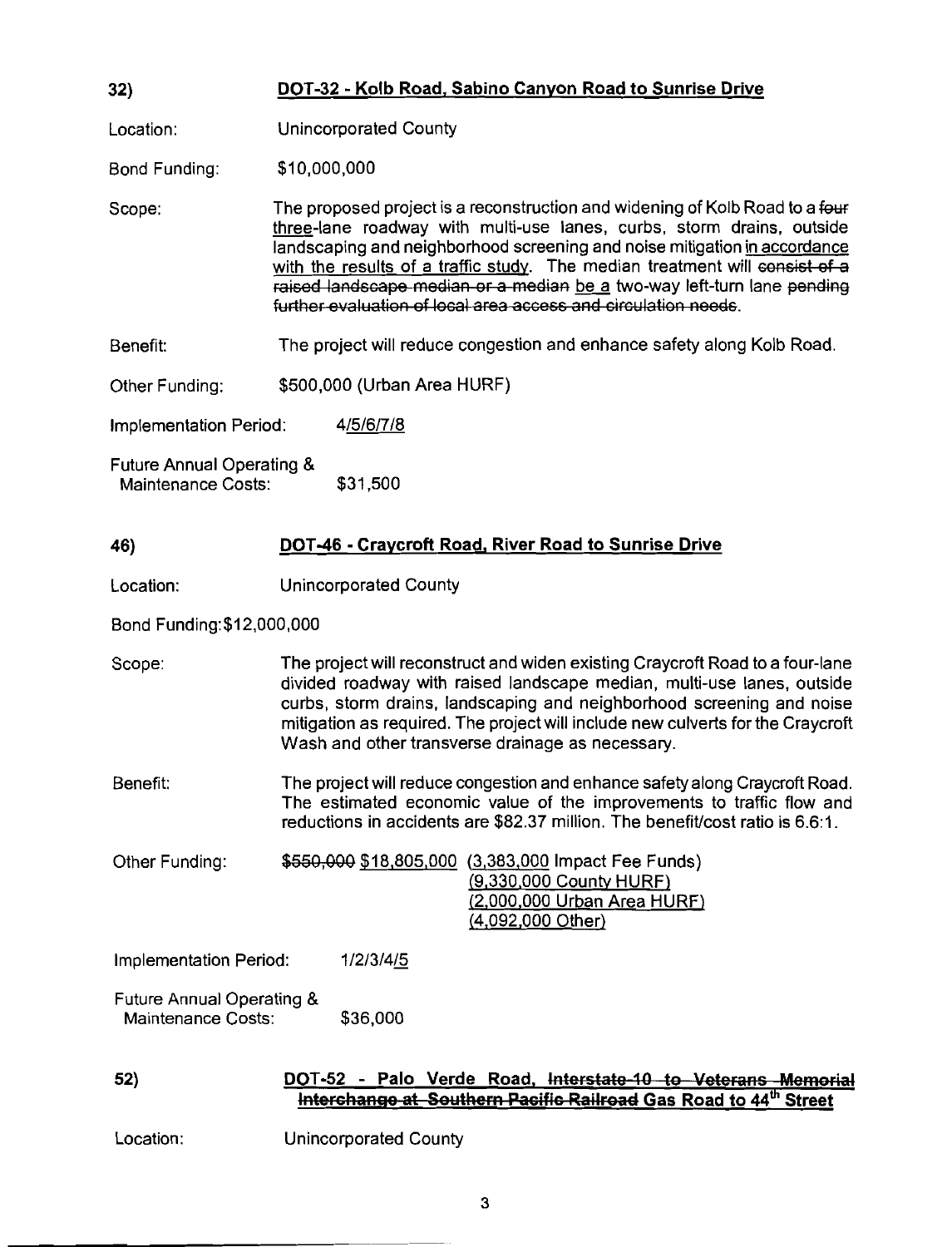| 32) | DOT-32 - Kolb Road, Sabino Canyon Road to Sunrise Drive |
|-----|---------------------------------------------------------|
|-----|---------------------------------------------------------|

Location: Unincorporated County

Bond Funding: \$1 0,000,000

Scope: The proposed project is a reconstruction and widening of Kolb Road to a **few**  three-lane roadway with multi-use lanes, curbs, storm drains, outside landscaping and neighborhood screening and noise mitigation in accordance with the results of a traffic study. The median treatment will consist of a raised landscape median or a median be a two-way left-turn lane pending<br>further evaluation of local area access and circulation needs.

Benefit: The project will reduce congestion and enhance safety along Kolb Road.

Other Funding: \$500,000 (Urban Area HURF)

Implementation Period: 4/5/6/7/8

Future Annual Operating & Maintenance Costs: \$31,500

#### 46) DOT-46 - Craycroft Road, River Road to Sunrise Drive

Location: Unincorporated County

Bond Funding:\$12,000,000

- Scope: The project will reconstruct and widen existing Craycroft Road to a four-lane divided roadway with raised landscape median, multi-use lanes, outside curbs, storm drains, landscaping and neighborhood screening and noise mitigation as required. The project will include new culverts for the Craycroft Wash and other transverse drainage as necessary.
- Benefit: The project will reduce congestion and enhance safety along Craycroft Road. The estimated economic value of the improvements to traffic flow and reductions in accidents are \$82.37 million. The benefit/cost ratio is 6.6:1.

Other Funding: \$550,000 \$18,805,000 (3,383,000 Impact Fee Funds) /9,330,000 Countv HURF) (2,000.000 Urban Area HURF) 14,092,000 Other) mitigation as required. The project will include new culverts for the Craycroft<br>
Wash and other transverse drainage as necessary.<br>
The project will reduce congestion and enhance safety along Craycroft Road.<br>
The prismated

Implementation Period: 1/2/3/4/5

Future Annual Operating & Maintenance Costs: \$36,000

## Interchange at Southern Pacific Railroad Gas Road to 44th Street

Location: Unincorporated County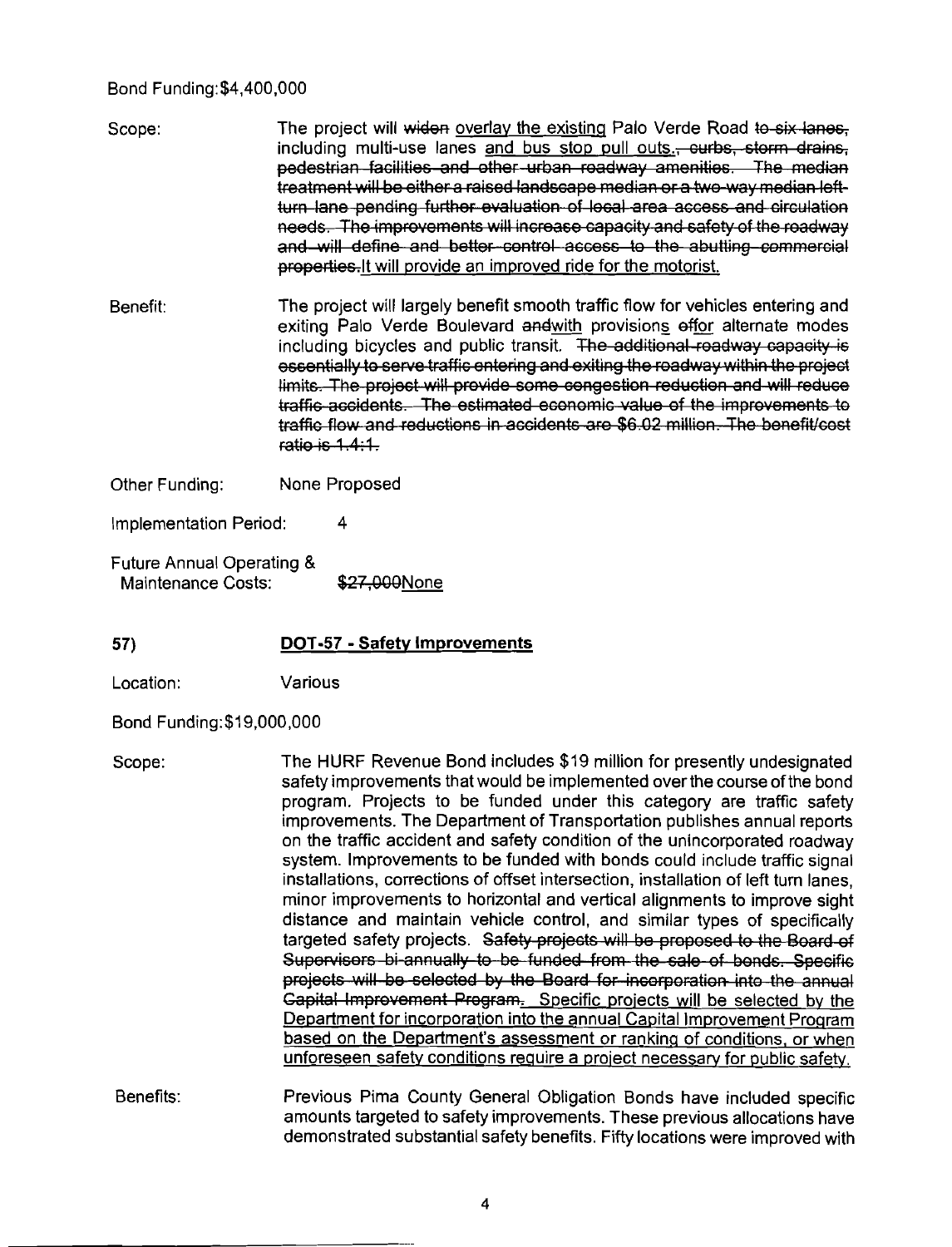#### Bond Funding:\$4,400,000

- Scope: The project will widen overlay the existing Palo Verde Road to six lanes. including multi-use lanes and bus stop pull outs.- curbs, storm drains, pedestrian facilities and other urban readway amenities. The median treatment will be either a raised landscape median or a two-way median leftturn lane pending further evaluation of local area access and circulation needs. The improvements will increase capacity and safety of the readway and will define and better control access to the abutting commercial properties. It will provide an improved ride for the motorist.
- Benefit: The project will largely benefit smooth traffic flow for vehicles entering and exiting Palo Verde Boulevard and with provisions effor alternate modes including bicycles and public transit. The additional roadway capacity is essentially to serve traffic entering and exiting the roadway within the proj limits. The project will provide some congestion reduction and will reduce traffic accidents. The estimated economic value of the improvements to traffic flow and reductions in accidents are \$6,02 million. The benefit/cost  $ratio$  is  $1.4:1$ .

Other Funding: None Proposed

Implementation Period: 4

- Future Annual Operating & Maintenance Costs: \$27,000None
- **57) DOT-57 Safetv Improvements**

Location: Various

Bond Funding:\$19,000,000

- Scope: The HURF Revenue Bond includes \$19 million for presently undesignated safety improvements that would be implemented over the course of the bond program. Projects to be funded under this category are traffic safety improvements. The Department of Transportation publishes annual reports on the traffic accident and safety condition of the unincorporated roadway system. Improvements to be funded with bonds could include traffic signal installations, corrections of offset intersection, installation of left turn lanes, minor improvements to horizontal and vertical alignments to improve sight distance and maintain vehicle control, and similar types of specifically targeted safety projects. Safety projects will be proposed to the Board of<br>Supervisers bi-annually to be funded from the sale of bonds. Specific projects will be selected by the Board for incorporation into the annual Gapital Improvement Program. Specific projects will be selected by the Department for incorporation into the annual Capital Improvement Proqram based on the Department's assessment or ranking of conditions, or when unforeseen safety conditions require a project necessary for public safety.
- Benefits: Previous Pima County General Obligation Bonds have included specific amounts targeted to safety improvements. These previous allocations have demonstrated substantial safety benefits. Fifty locations were improved with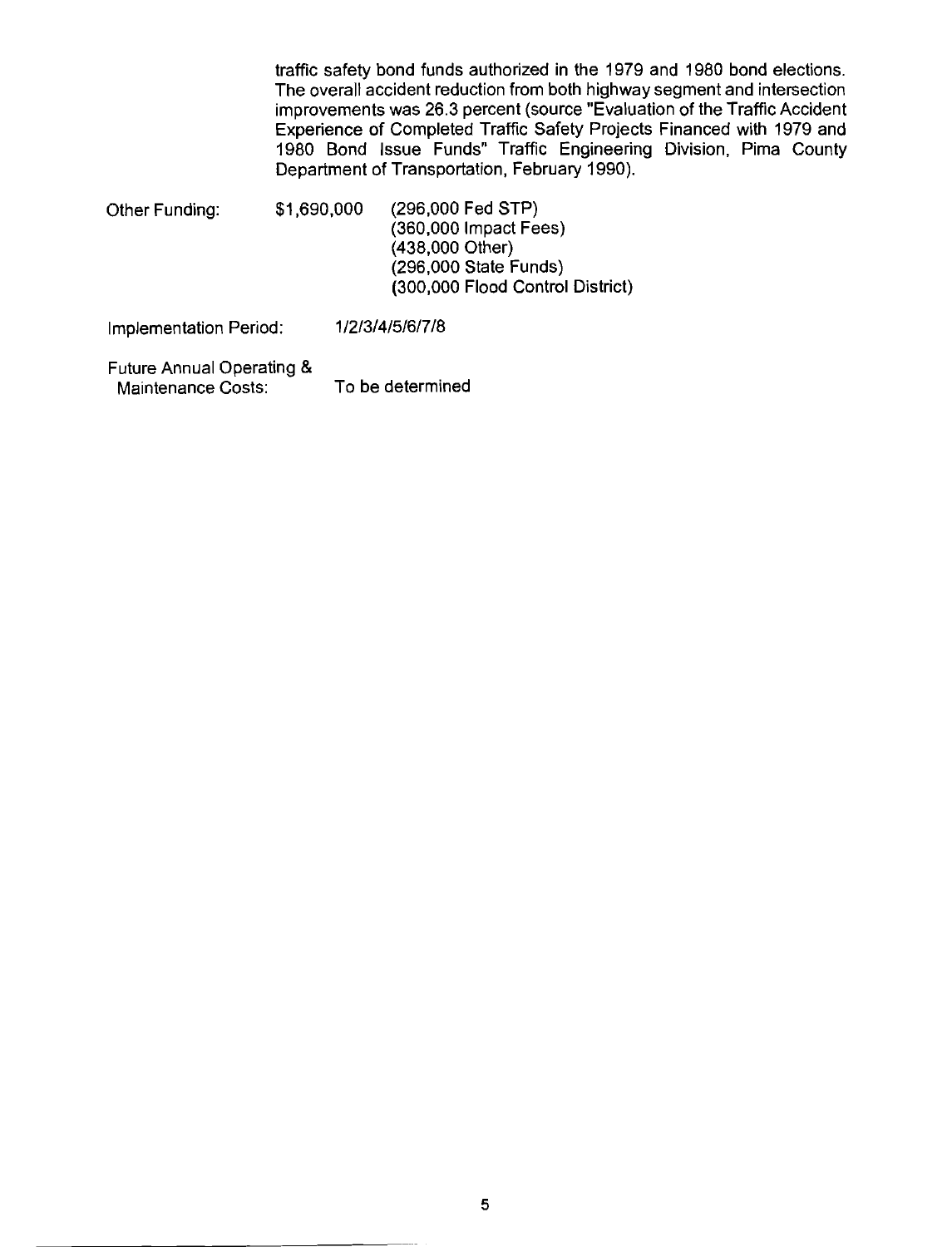traffic safety bond funds authorized in the 1979 and 1980 bond elections. The overall accident reduction from both highway segment and intersection improvements was 26.3 percent (source "Evaluation of the Traffic Accident Experience of Completed Traffic Safety Projects Financed with 1979 and 1980 Bond Issue Funds" Traffic Engineering Division, Pima County Department of Transportation, February 1990).

Other Funding: \$1,690,000 (296,000 Fed STP) (360,000 Impact Fees) (438,000 Other) (296,000 State Funds) (300,000 Flood Control District)

Implementation Period: 1 /2/3/415/6/7/8

Future Annual Operating & Maintenance Costs: To be determined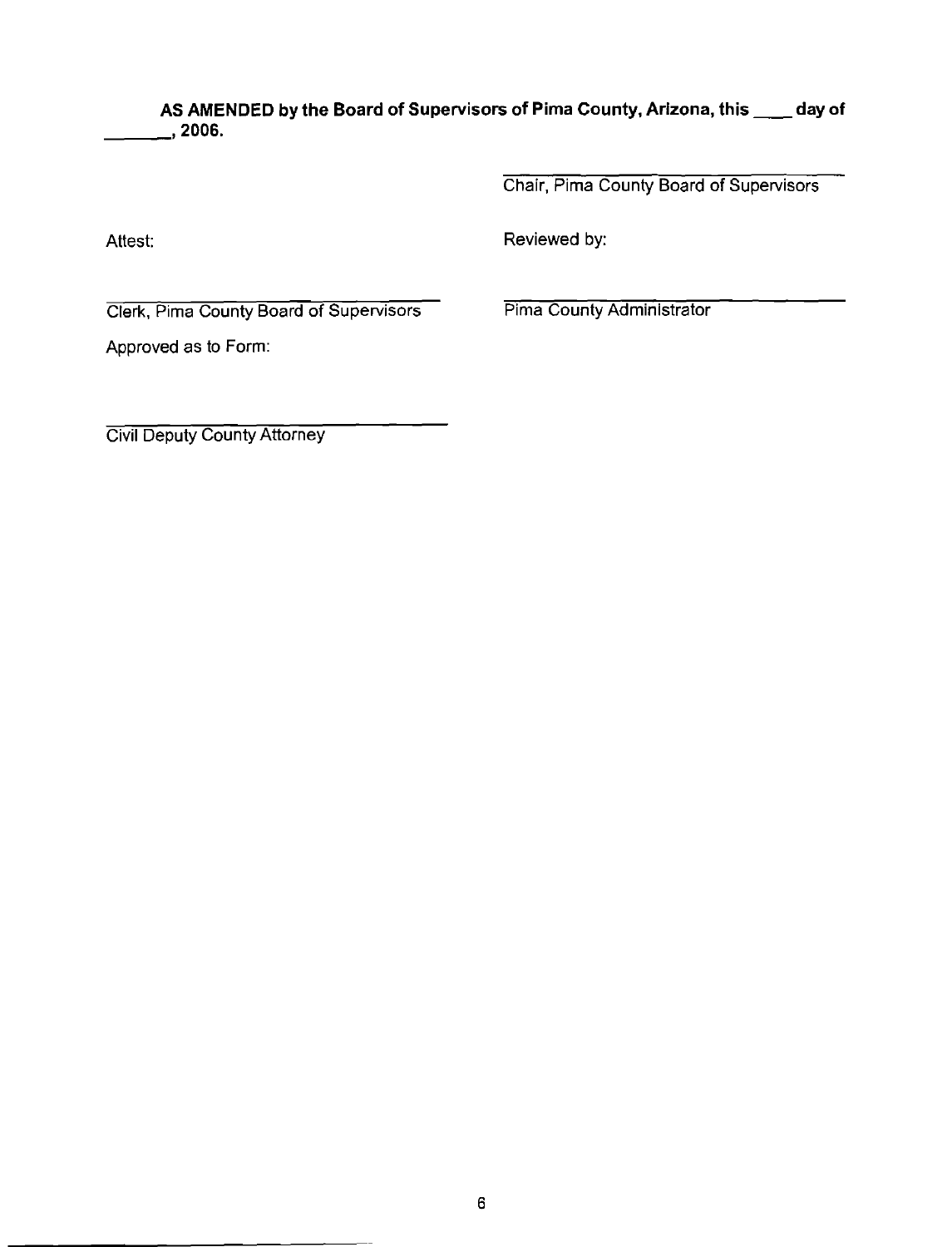AS AMENDED by the Board of Supervisors of Pima County, Arizona, this \_\_\_\_ day of **,2006.** 

**Chair, Pima County Board of Supervisors** 

Attest: **Attest: Reviewed by: Reviewed by:** 

**Clerk, Pima County Board of Supervisors Pima County Administrator** 

**Approved as to Form:** 

**Civil Deputy County Attorney**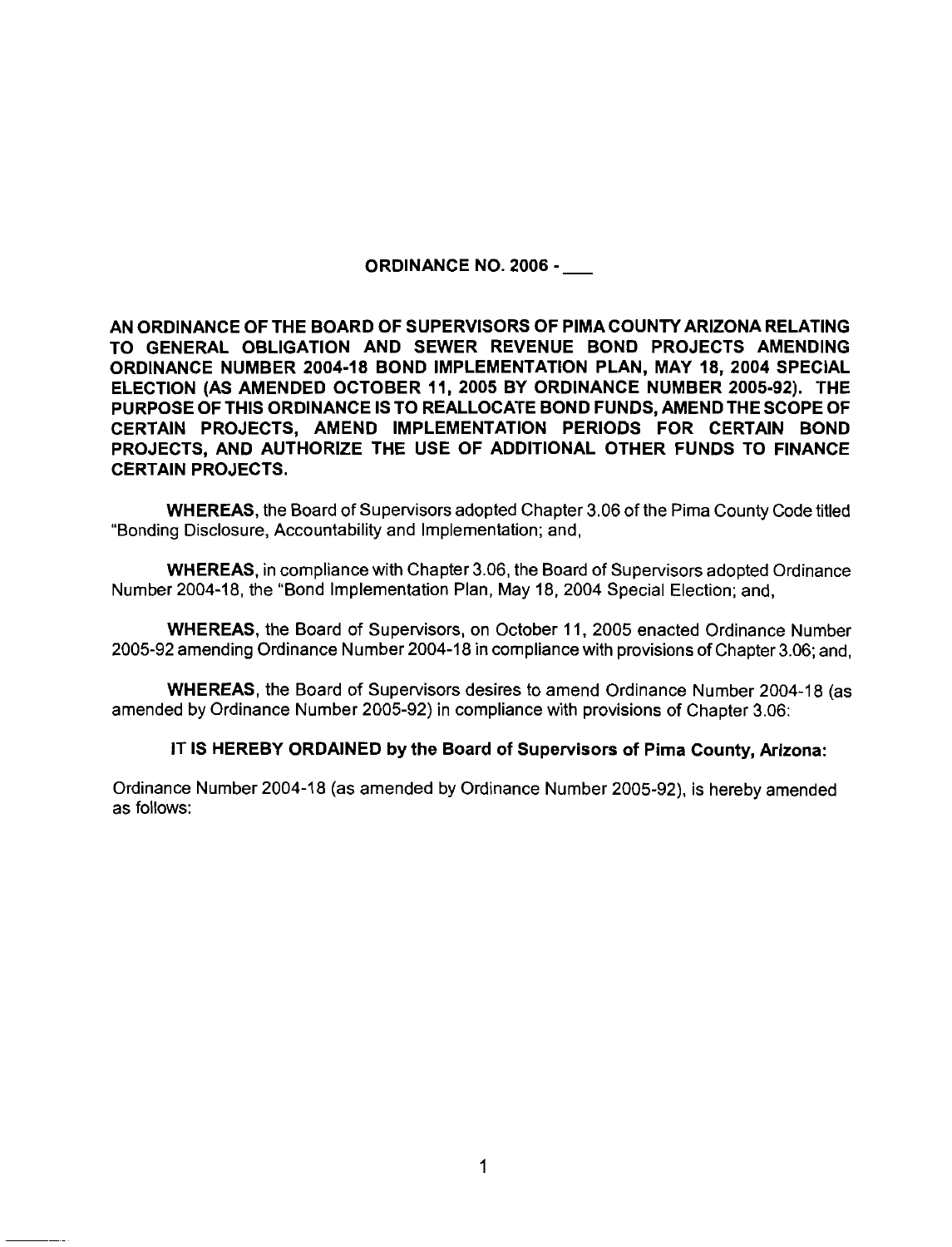ORDINANCE NO. 2006 -

AN ORDINANCE OF THE BOARD OF SUPERVISORS OF PIMACOUNTY ARIZONA RELATING TO GENERAL OBLIGATION AND SEWER REVENUE BOND PROJECTS AMENDING ORDINANCE NUMBER 2004-18 BOND IMPLEMENTATION PLAN, MAY 18, 2004 SPECIAL ELECTION (AS AMENDED OCTOBER 11, 2005 BY ORDINANCE NUMBER 2005-92). THE PURPOSE OF THIS ORDINANCE IS TO REALLOCATE BOND FUNDS, AMEND THE SCOPE OF CERTAIN PROJECTS, AMEND IMPLEMENTATION PERIODS FOR CERTAIN BOND PROJECTS, AND AUTHORIZE THE USE OF ADDITIONAL OTHER FUNDS TO FINANCE CERTAIN PROJECTS.

WHEREAS, the Board of Supervisors adopted Chapter 3.06 of the Pima County Code titled "Bonding Disclosure, Accountability and Implementation; and,

WHEREAS, in compliance with Chapter 3.06, the Board of Supervisors adopted Ordinance Number 2004-18, the "Bond Implementation Plan, May 18, 2004 Special Election; and,

WHEREAS, the Board of Supervisors, on October 11, 2005 enacted Ordinance Number 2005-92 amending Ordinance Number 2004-18 in compliance with provisions of Chapter 3.06; and,

WHEREAS, the Board of Supervisors desires to amend Ordinance Number 2004-18 (as amended by Ordinance Number 2005-92) in compliance with provisions of Chapter 3.06:

#### IT IS HEREBY ORDAINED by the Board of Supervisors of Pima County, Arizona:

Ordinance Number 2004-18 (as amended by Ordinance Number 2005-92), is hereby amended as follows: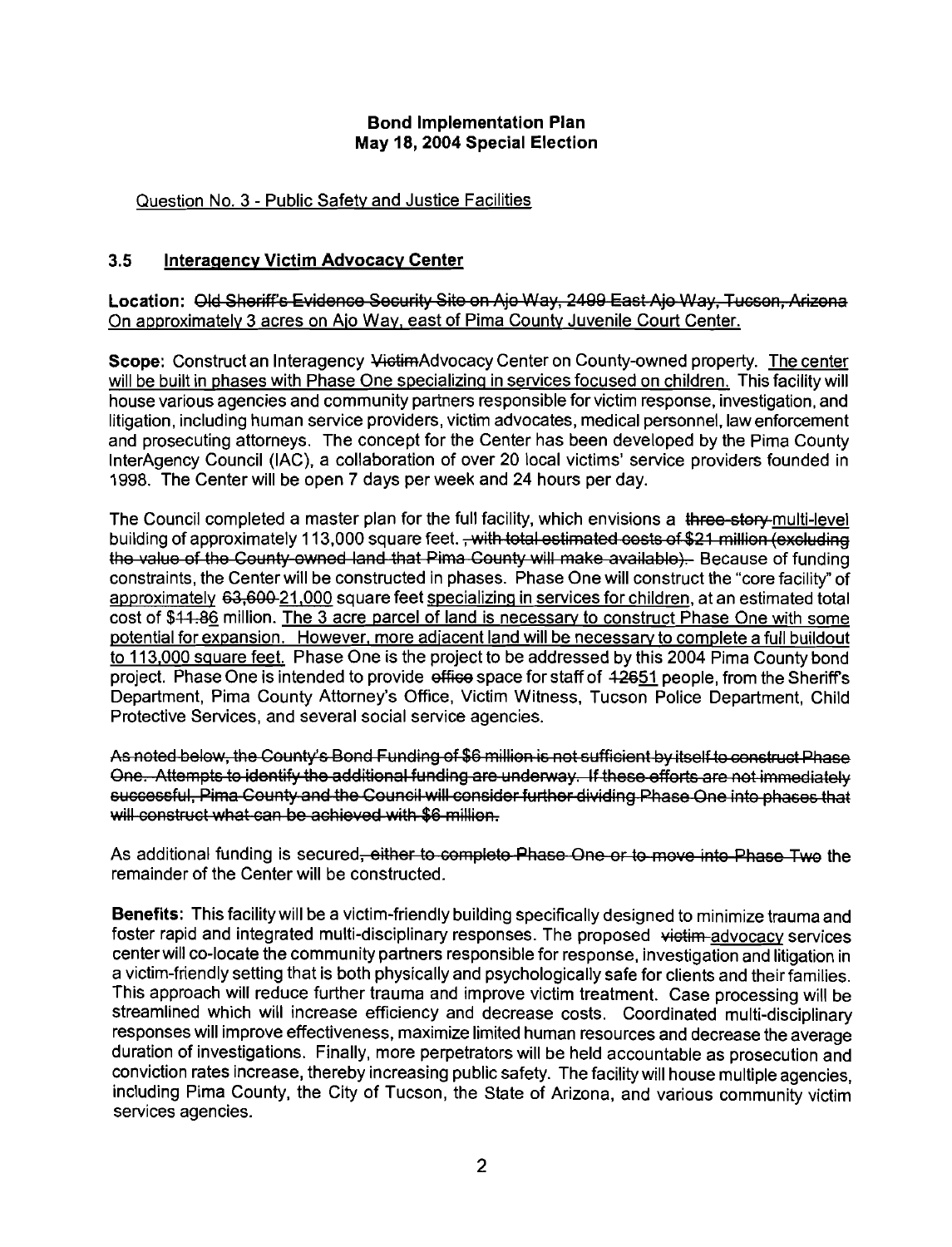#### Bond Implementation Plan May **18,2004** Special Election

#### Question No. 3 - Public Safety and Justice Facilities

#### **3.5** Interaaencv Victim Advocacv Center

Location: <del>Old Sheriff's Evidence Security Sit</del> <u>On approximately 3 acres on Aio Way, east of Pima County Juvenile Court Center.</u>

Bond Implementation Plan<br>May 18, 2004 Special Election<br>In No. 3 - Public Safety and Justice Facilities<br>Transmeror Victim Advocacy Center<br>Oid Sheriff's Evidence Security Site on Ajo Way, 2409 East Ajo Way, Tucson, Arizona<br>I Scope: Construct an Interagency VictimAdvocacy Center on County-owned property. The center will be built in phases with Phase One specializing in services focused on children. This facility will house various agencies and community partners responsible for victim response, investigation, and litigation, including human service providers, victim advocates, medical personnel, law enforcement and prosecuting attorneys. The concept for the Center has been developed by the Pima County InterAgency Council (IAC), a collaboration of over 20 local victims' service providers founded in 1998. The Center will be open 7 days per week and 24 hours per day.

The Council completed a master plan for the full facility, which envisions a three-story-multi-level<br>building of approximately 113,000 square feet, <del>, with total estimated costs of \$21 million (excluding</del> building of approximately 11 3,000 square feet. 0 . . the value of the County-owned land that Pima County will make available). Because of funding constraints, the Centerwill be constructed in phases. Phase One will construct the "core facility" of approximately 63,600-21,000 square feet specializing in services for children, at an estimated total cost of \$44.86 million. The 3 acre parcel of land is necessary to construct Phase One with some potential for expansion. However, more adiacent land will be necessarv to complete a full buildout to 113,000 square feet. Phase One is the project to be addressed by this 2004 Pima County bond project. Phase One is intended to provide effice space for staff of 42651 people, from the Sheriff's Department, Pima County Attorney's Office, Victim Witness, Tucson Police Department, Child Protective Services, and several social service agencies.

One. Attempts to identify the additional funding are underway. If these efforts are not immediately successful, Pima County and the Council will consider further dividing Phase One into phases that will construct what can be achieved with \$6 million.

As additional funding is secured<del>, either to complete Phase One or to move into Phase Two</del> the remainder of the Center will be constructed.

Benefits: This facility will be a victim-friendly building specifically designed to minimize trauma and foster rapid and integrated multi-disciplinary responses. The proposed victim-advocacy services centerwill co-locate the community partners responsible for response, investigation and litigation in a victim-friendly setting that is both physically and psychologically safe for clients and their families. This approach will reduce further trauma and improve victim treatment. Case processing will be streamlined which will increase efficiency and decrease costs. Coordinated multi-disciplinary responses will improve effectiveness, maximize limited human resources and decrease the average duration of investigations. Finally, more perpetrators will be held accountable as prosecution and conviction rates increase, thereby increasing public safety. The facilitywill house multiple agencies, including Pima County, the City of Tucson, the State of Arizona, and various community victim services agencies.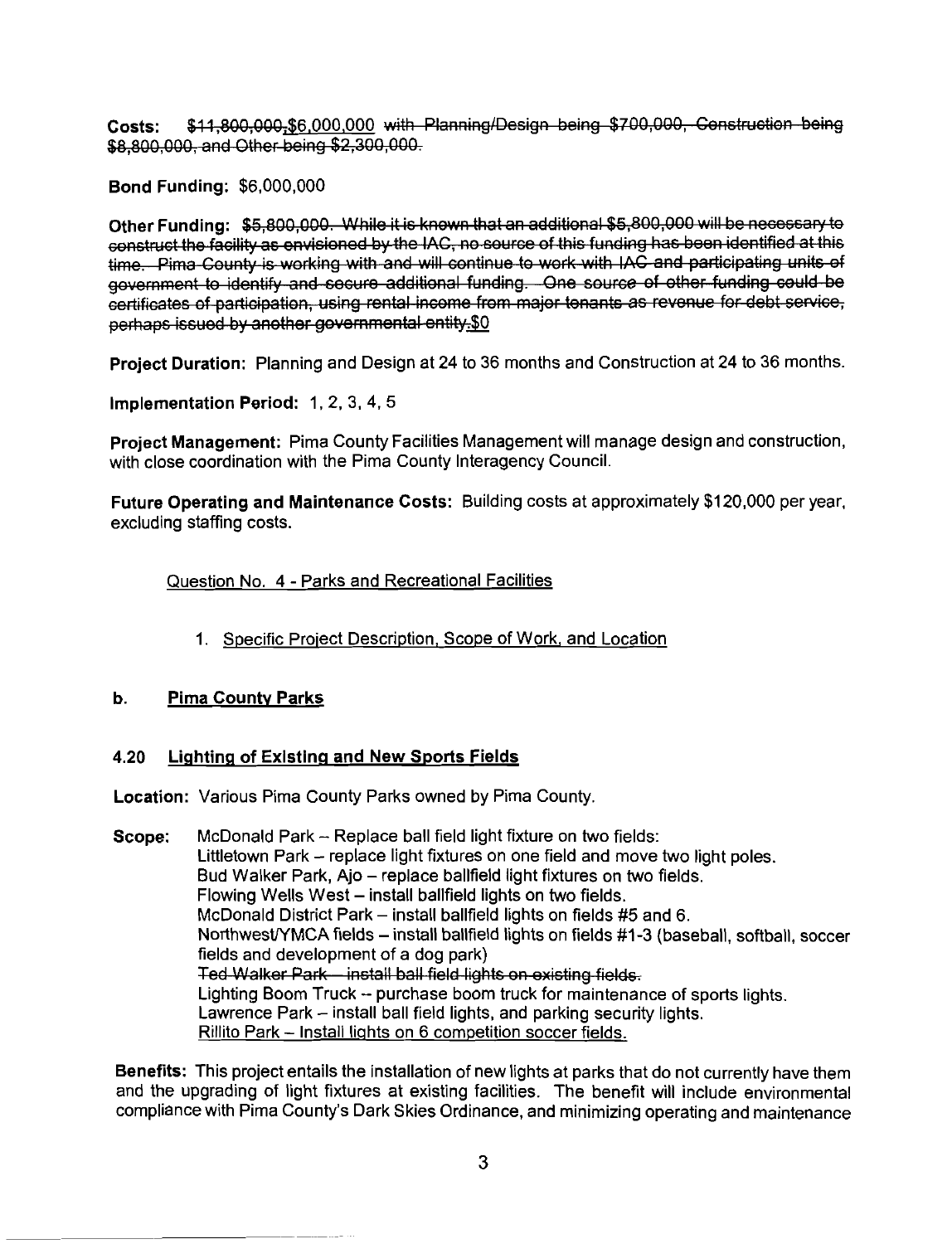Bond Funding: \$6,000,000

Costs: \$41,800,000,<u>\$6,000,000</u> with Planning/Design being \$7.00,000, Cenetruction being<br>\$8,800,000, and Other being \$2,300,000.<br>Bond Funding: \$5,000,000 with Blanning/Design being \$7.00,000, Cenetruction being<br>time. Pime

Project Duration: Planning and Design at 24 to 36 months and Construction at 24 to 36 months.

Implementation Period: 1. 2. 3, 4, **5** 

Project Management: Pima County Facilities Management will manage design and construction, with close coordination with the Pima County Interagency Council.

Future Operating and Maintenance Costs: Building costs at approximately \$120,000 per year, excluding staffing costs.

Question No. 4 - Parks and Recreational Facilities

1. Specific Proiect Description, Scope of Work, and Location

#### **b.** Pima County Parks

#### **4.20 Lighting of Existing and New Sports Fields**

Location: Various Pima County Parks owned by Pima County.

**Scope:** McDonald Park  $\sim$  Replace ball field light fixture on two fields: Littletown Park - replace light fixtures on one field and move two light poles. Bud Walker Park, Ajo - replace ballfield light fixtures on two fields. Flowing Wells West - install ballfield lights on two fields. McDonald District Park - install ballfield lights on fields **#5** and 6. NorthwestYMCA fields - install ballfield lights on fields #1-3 (baseball, softball, soccer fields and development of a dog park)<br>Ted Walker Park—install ball field lights on existing fields. Lighting Boom Truck - purchase boom truck for maintenance of sports lights. Lawrence Park - install ball field lights, and parking security lights. Rillito Park - Install liqhts on 6 competition soccer fields.

Benefits: This project entails the installation of new lights at parks that do not currently have them and the upgrading of light fixtures at existing facilities. The benefit will include environmental compliance with Pima County's Dark Skies Ordinance, and minimizing operating and maintenance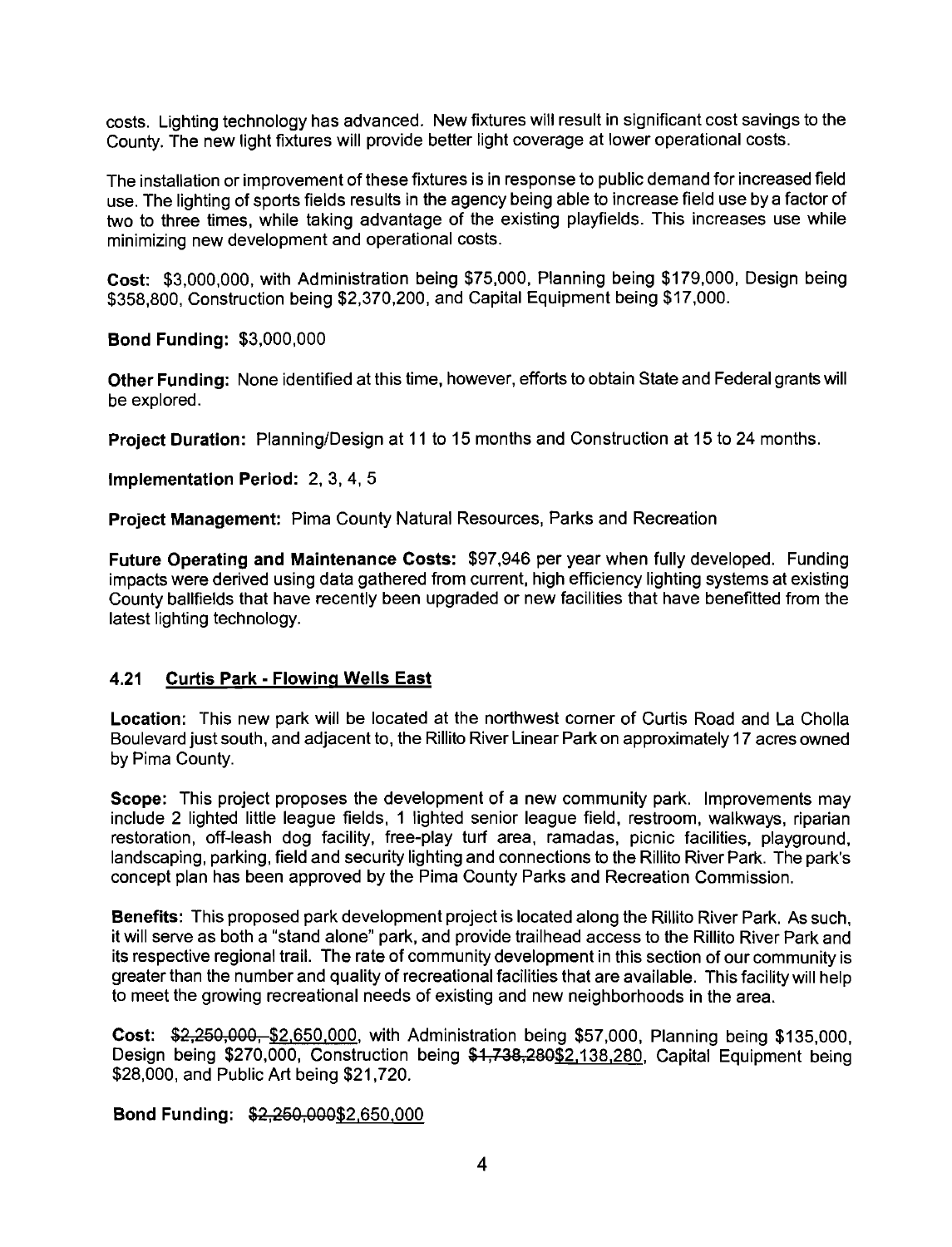costs. Lighting technology has advanced. New fixtures will result in significant cost savings to the County. The new light fixtures will provide better light coverage at lower operational costs.

The installation or improvement of these fixtures is in response to public demand for increased field use. The lighting of sports fields results in the agency being able to increase field use by a factor of two to three times, while taking advantage of the existing playfields. This increases use while minimizing new development and operational costs.

Cost: \$3,000,000, with Administration being \$75,000, Planning being \$179,000, Design being \$358,800, Construction being \$2,370,200, and Capital Equipment being \$17,000.

Bond Funding: \$3,000,000

Other Funding: None identified at this time, however, efforts to obtain State and Federal grants will be explored.

Project Duration: Planning/Design at 11 to 15 months and Construction at 15 to 24 months.

Implementation Period: 2, 3, 4, 5

Project Management: Pima County Natural Resources, Parks and Recreation

Future Operating and Maintenance Costs: \$97,946 per year when fully developed. Funding impacts were derived using data gathered from current, high efficiency lighting systems at existing County ballfields that have recently been upgraded or new facilities that have benefitted from the latest lighting technology.

#### **4.21 Curtis Park - Flowing Wells East**

Location: This new park will be located at the northwest corner of Curtis Road and La Cholla Boulevard just south, and adjacent to, the Rillito River Linear Park on approximately 17 acres owned by Pima County.

Scope: This project proposes the development of a new community park. Improvements may include 2 lighted little league fields, 1 lighted senior league field, restroom, walkways, riparian restoration, off-leash dog facility, free-play turf area, ramadas, picnic facilities, playground, landscaping, parking, field and security lighting and connections to the Rillito River Park. The park's concept plan has been approved by the Pima County Parks and Recreation Commission.

Benefits: This proposed park development project is located along the Rillito River Park. As such, it will serve as both a "stand alone" park, and provide trailhead access to the Rillito River Park and its respective regional trail. The rate of community development in this section of our community is greater than the number and quality of recreational facilities that are available. This facility will help to meet the growing recreational needs of existing and new neighborhoods in the area.

Cost: \$2,250,000, \$2,650,000, with Administration being \$57,000, Planning being \$135,000. Design being \$270,000, Construction being \$1,738,280\$2,138,280, Capital Equipment being \$28,000, and Public Art being \$21,720.

#### Bond Funding: \$2,250,000\$2,650,000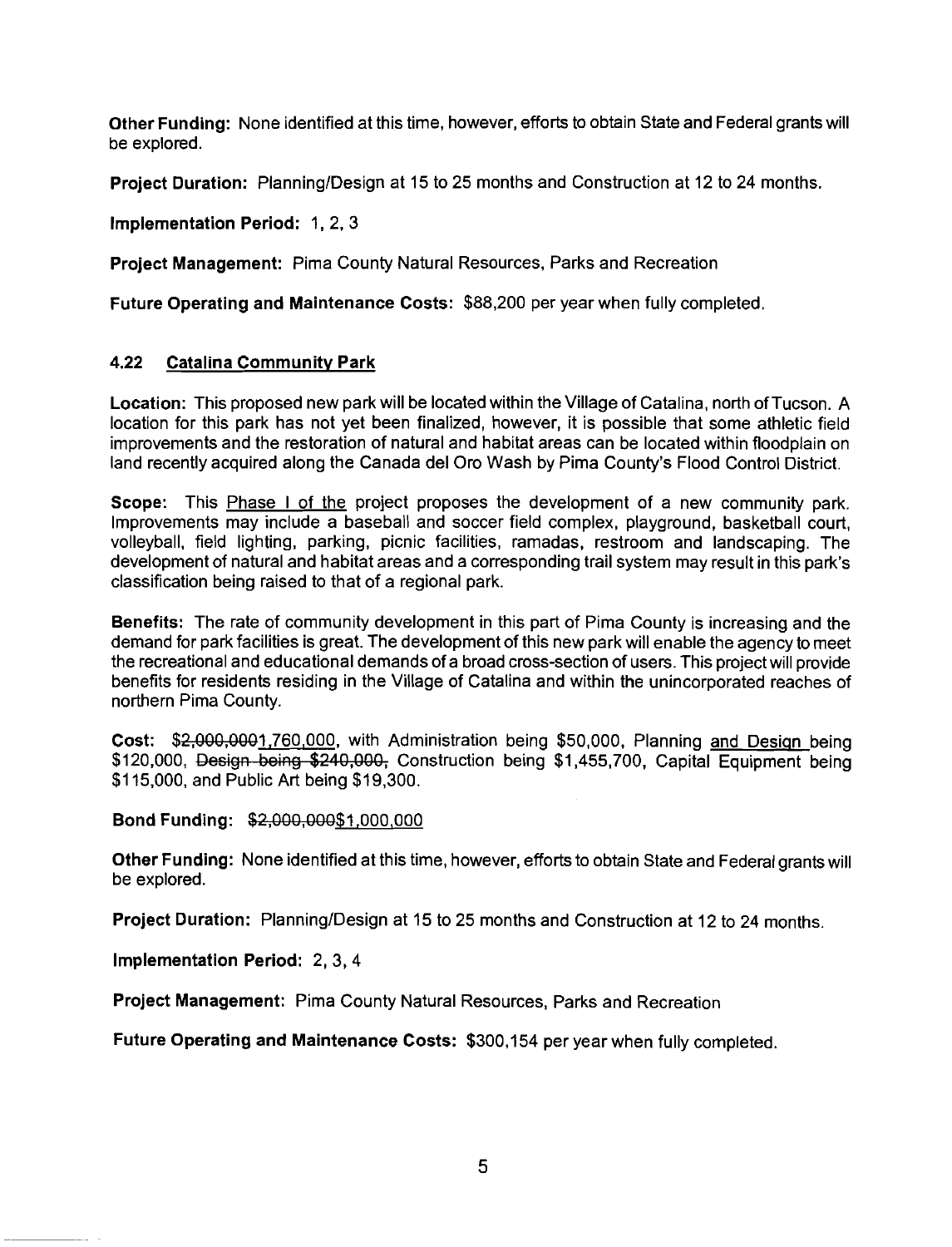Other Funding: None identified at this time, however, efforts to obtain State and Federal grants will be explored.

**Project Duration:** Planning/Design at 15 to 25 months and Construction at 12 to 24 months.

Implementation Period: 1, 2, 3

Project Management: Pima County Natural Resources, Parks and Recreation

Future Operating and Maintenance Costs: \$88,200 per year when fully completed.

#### **4.22** Catalina Communitv Park

Location: This proposed new park will be located within the Village of Catalina, north of Tucson. A location for this park has not yet been finalized, however, it is possible that some athletic field improvements and the restoration of natural and habitat areas can be located within floodplain on land recently acquired along the Canada del Oro Wash by Pima County's Flood Control District.

Scope: This Phase I of the project proposes the development of a new community park. Improvements may include a baseball and soccer field complex, playground, basketball court, volleyball, field lighting, parking, picnic facilities, ramadas, restroom and landscaping. The development of natural and habitat areas and a corresponding trail system may result in this park's classification being raised to that of a regional park.

Benefits: The rate of community development in this part of Pima County is increasing and the demand for park facilities is great. The development of this new park will enable the agency to meet the recreational and educational demands of a broad cross-section of users. This project will provide benefits for residents residing in the Village of Catalina and within the unincorporated reaches of northern Pima County.

Cost: \$2,000,0001,760,000, with Administration being \$50,000, Planning and Design being  $$120,000$ , Design being  $$240,000$ , Construction being  $$1,455,700$ , Capital Equipment being  $$115,000$ , and Public Art being  $$19,300$ .

Bond Funding: \$2,000,000\$1,000,000

Other Funding: None identified at this time, however, efforts to obtain State and Federal grants will be explored.

Project Duration: Planning/Design at 15 to 25 months and Construction at 12 to 24 months.

Implementation Period: 2, 3,4

Project Management: Pima County Natural Resources, Parks and Recreation

Future Operating and Maintenance Costs: \$300,154 per year when fully completed.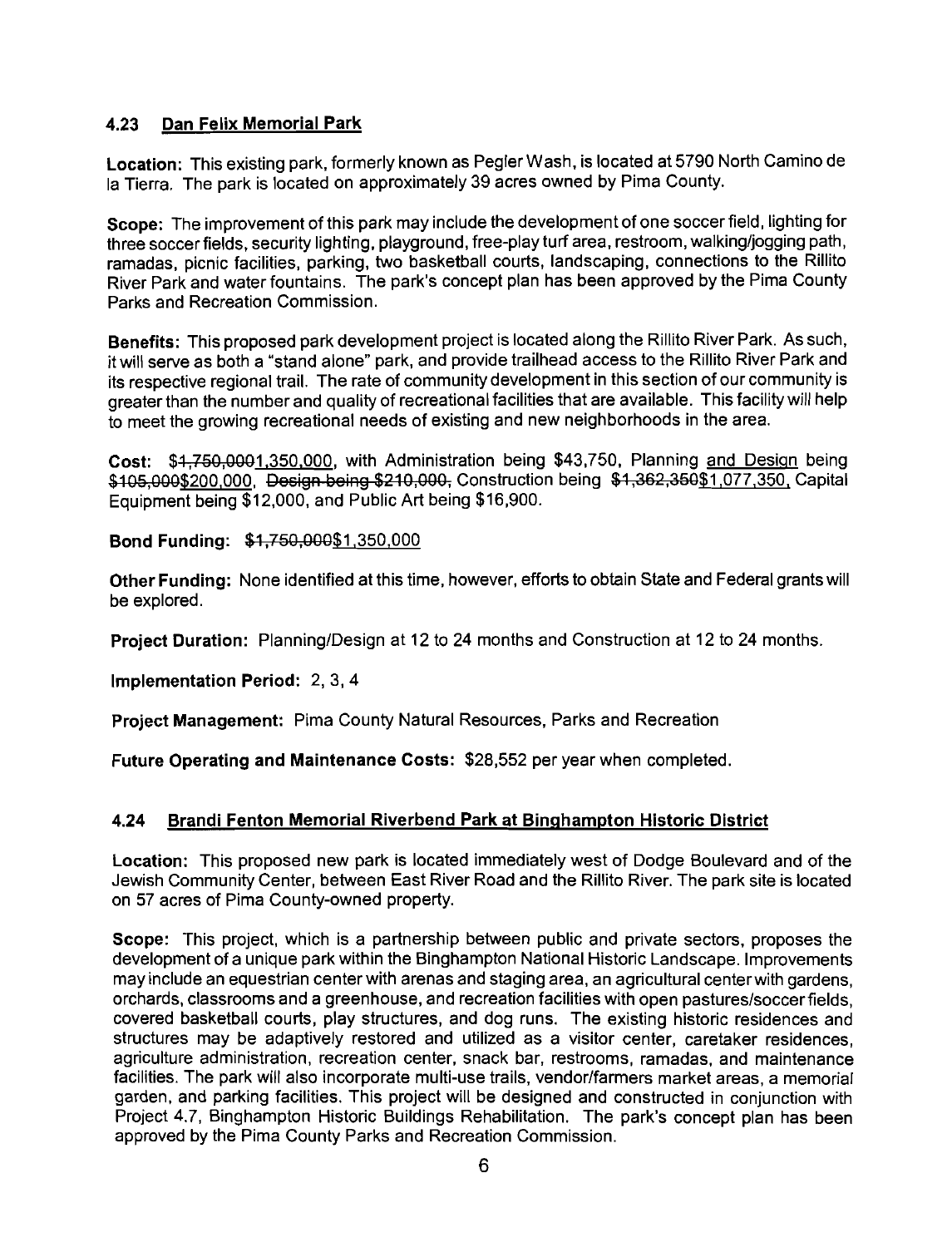#### **4.23** Dan Felix Memorial Park

Location: This existing park, formerly known as Pegler Wash, is located at 5790 North Camino de la Tierra. The park is located on approximately 39 acres owned by Pima County.

Scope: The improvement of this park may include the development of one soccer field, lighting for three soccer fields, security lighting, playground, free-play turf area, restroom, walking/iogging path. ramadas, picnic facilities, parking, two basketball courts, landscaping, connections to the Rillito River Park and water fountains. The park's concept plan has been approved by the Pima County Parks and Recreation Commission.

Benefits: This proposed park development project is located along the Rillito River Park. As such, it will serve as both a "stand alone" park, and provide trailhead access to the Rillito River Park and its respective regional trail. The rate of community development in this section of our community is greater than the number and quality of recreational facilities that are available. This facility will help to meet the growing recreational needs of existing and new neighborhoods in the area.

Cost: \$4,750,0001,350,000, with Administration being \$43,750, Planning and Design being \$105,000\$200,000, Design being \$210,000, Construction being \$1,362,350\$1,077,350, Capital Equipment being \$12,000, and Public Art being \$16,900.

Bond Funding: \$1,750,000\$1,350,000

Other Funding: None identified at this time, however, efforts to obtain State and Federal grantswill be explored.

Project Duration: Planning/Design at 12 to 24 months and Construction at 12 to 24 months.

Implementation Period: 2, 3,4

Project Management: Pima County Natural Resources, Parks and Recreation

Future Operating and Maintenance Costs: \$28,552 per year when completed.

#### **4.24** Brandi Fenton Memorial Riverbend Park at Binghampton Historic District

Location: This proposed new park is located immediately west of Dodge Boulevard and of the Jewish Community Center, between East River Road and the Rillito River. The park site is located on 57 acres of Pima County-owned property.

Scope: This project, which is a partnership between public and private sectors, proposes the development of a unique park within the Binghampton National Historic Landscape. Improvements may include an equestrian center with arenas and staging area, an agricultural centerwith gardens, orchards, classrooms and a greenhouse, and recreation facilities with open pastures/soccer fields, covered basketball courts, play structures, and dog runs. The existing historic residences and structures may be adaptively restored and utilized as a visitor center, caretaker residences, agriculture administration, recreation center, snack bar, restrooms, ramadas, and maintenance facilities. The park will also incorporate multi-use trails, vendor/farmers market areas, a memorial garden, and parking facilities. This project will be designed and constructed in conjunction with Project 4.7, Binghampton Historic Buildings Rehabilitation. The park's concept plan has been approved by the Pima County Parks and Recreation Commission.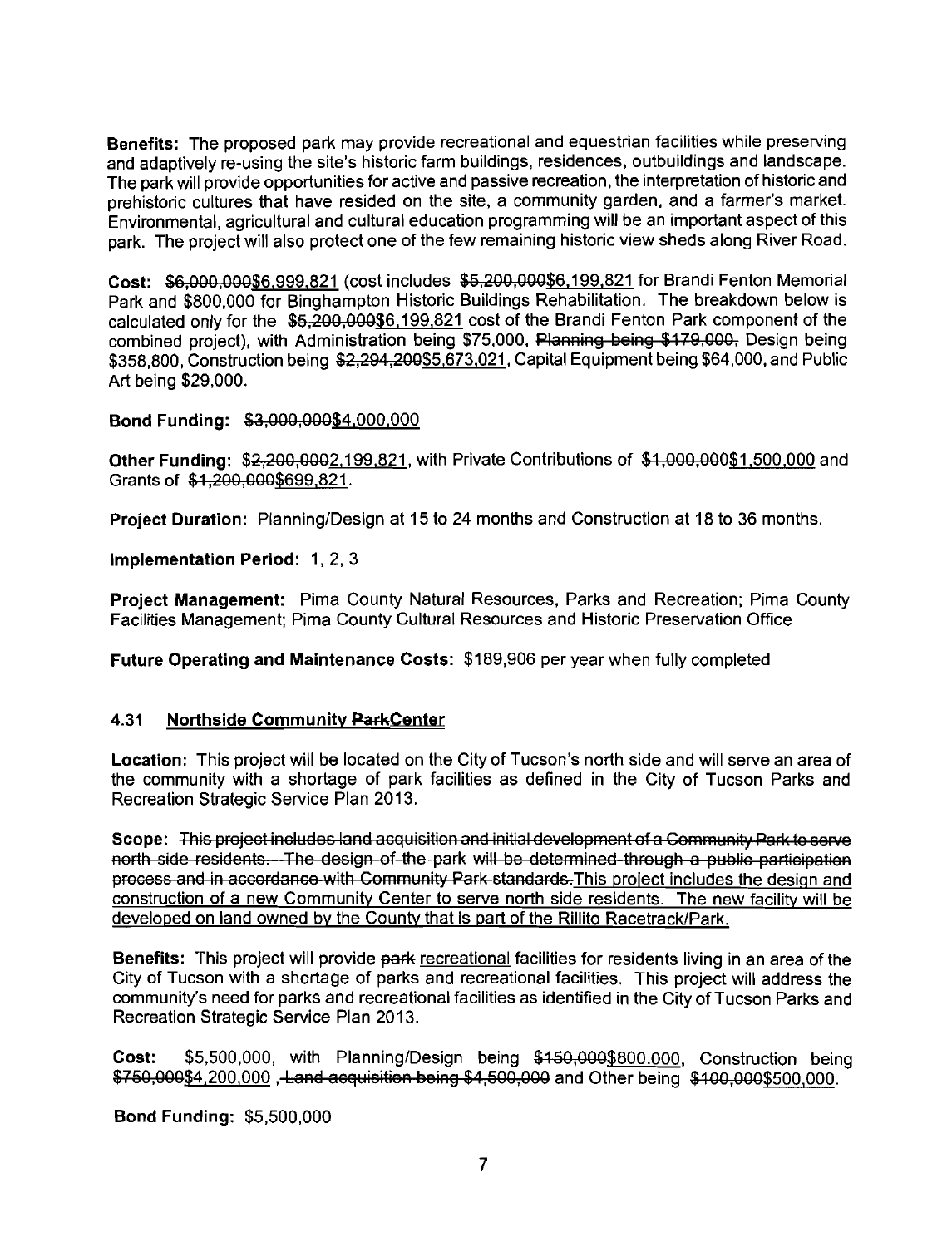Benefits: The proposed park may provide recreational and equestrian facilities while preserving and adaptively re-using the site's historic farm buildings, residences, outbuildings and landscape. The park will provide opportunities for active and passive recreation, the interpretation of historic and prehistoric cultures that have resided on the site, a community garden, and a farmer's market. Environmental, agricultural and cultural education programming will be an important aspect of this park. The project will also protect one of the few remaining historic view sheds along River Road.

Cost: \$6,000,000\$6,999,821 (cost includes \$5,200,000\$6,199,821 for Brandi Fenton Memorial Park and \$800,000 for Binghampton Historic Buildings Rehabilitation. The breakdown below is calculated only for the  $$5,200,000$6,199,821$  cost of the Brandi Fenton Park component of the combined project), with Administration being \$75,000, Planning being \$179,000, Design being \$358,800, Construction being \$2,294,200\$5,673,021, Capital Equipment being \$64,000, and Public Art being \$29,000.

#### Bond Funding: \$3,000,000\$4,000,000

**Other Funding: \$2,200,0002,199,821, with Private Contributions of \$1,000,000\$1,500,000 and** Grants of \$1,200,000\$699,821.

Project Duration: Planning/Design at 15 to 24 months and Construction at 18 to 36 months.

Implementation Perlod: 1, 2, 3

Project Management: Pima County Natural Resources, Parks and Recreation; Pima County Facilities Management; Pima County Cultural Resources and Historic Preservation Office

Future Operating and Maintenance Costs: \$189,906 per year when fully completed

#### **4.31 • Northside Community ParkCenter**

Location: This project will be located on the City of Tucson's north side and will serve an area of the community with a shortage of park facilities as defined in the City of Tucson Parks and Recreation Strategic Service Plan 2013.

Scope: This project includes land acquisition and initial development of a Community Park to serve<br>north\_side\_residents.—The\_design\_of\_the\_park\_will\_be\_determined\_through\_a\_public\_participation process and in accordance with Community Park standards. This project includes the design and construction of a new Community Center to serve north side residents. The new facility will be developed on land owned by the County that is part of the Rillito Racetrack/Park.

**Benefits:** This project will provide park recreational facilities for residents living in an area of the City of Tucson with a shortage of parks and recreational facilities. This project will address the community's need for parks and recreational facilities as identified in the City of Tucson Parks and Recreation Strategic Service Plan 2013.

Cost: \$5,500,000, with Planning/Design being \$150,000\$800,000, Construction being \$750,000\$4,200,000, Land acquisition being \$4,500,000 and Other being \$100,000\$500,000.

Bond Funding: \$5,500,000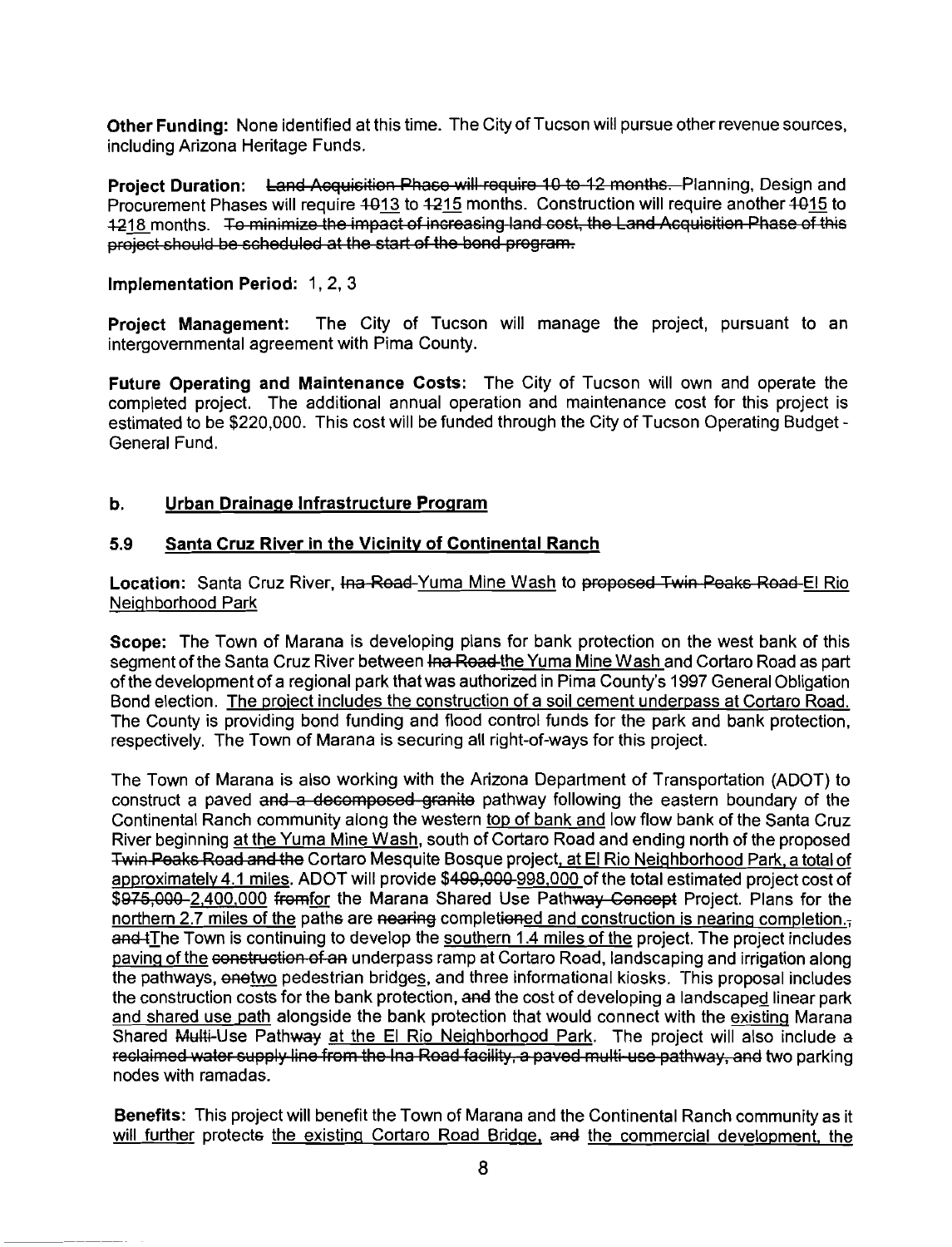Other Funding: None identified at this time. The City of Tucson will pursue other revenue sources, including Arizona Heritage Funds.

Project Duration: Land Acquisition Phase will require 10 to 12 months. Planning, Design and Procurement Phases will require 1013 to 1215 months. Construction will require another 1015 to 12<u>18 </u>months. Te minimize the impact of increasing land cost, the Land Acquisition Phase of this<br>project should be scheduled at the start of the bond program.

#### Implementation Period: 1, 2, 3

Project Management: The City of Tucson will manage the project, pursuant to an intergovernmental agreement with Pima County.

Future Operating and Maintenance Costs: The City of Tucson will own and operate the completed project. The additional annual operation and maintenance cost for this project is estimated to be \$220,000. This cost will be funded through the City of Tucson Operating Budget - General Fund.

#### **b.** Urban Drainage Infrastructure Program

#### **5.9** Santa Cruz River in the Vicinity of Continental Ranch

Location: Santa Cruz River, Ina Read-Yuma Mine Wash to proposed Twin Peaks Read-El Rio Neiqhborhood Park

Scope: The Town of Marana is developing plans for bank protection on the west bank of this segment of the Santa Cruz River between <del>Ina Road</del> the Yuma Mine Wash and Cortaro Road as part of the development of a regional park that was authorized in Pima County's 1997 General Obligation Bond election. The proiect includes the construction of a soil cement underpass at Cortaro Road. The County is providing bond funding and flood control funds for the park and bank protection. respectively. The Town of Marana is securing all right-of-ways for this project.

The Town of Marana is also working with the Arizona Department of Transportation (ADOT) to construct a paved and a decomposed granite pathway following the eastern boundary of the Continental Ranch community along the western top of bank and low flow bank of the Santa Cruz Location: Santa Cruz River, <del>Ina Road-Yun</del><br>Neighborhood Park<br>Scope: The Town of Marana is developing<br>segment of the Santa Cruz River between the<br>of the development of a regional park that wa<br>Bond election. <u>The project in</u> River beginning at the Yuma Mine Wash, south of Cortaro Road and ending north of the proposed Twin Peaks Road and the Cortaro Mesquite Bosque project, at El Rio Neighborhood Park, a total of approximately 4.1 miles. ADOT will provide \$4<del>99,000</del>-998,000 of the total estimated project cost of \$975,000-2,400,000 fromfor the Marana Shared Use Pathway Concept Project. Plans for the northern 2.7 miles of the paths are nearing completioned and construction is nearing completion. and tThe Town is continuing to develop the southern 1.4 miles of the project. The project includes paving of the construction of an underpass ramp at Cortaro Road, landscaping and irrigation along the pathways, enetwo pedestrian bridges, and three informational kiosks. This proposal includes the construction costs for the bank protection, and the cost of developing a landscaped linear park and shared use path alongside the bank protection that would connect with the existing Marana Shared Multi-Use Pathway at the El Rio Neighborhood Park. The project will also include a reclaimed water supply line from the lna Road facility, a paved multi-use pathway, and two parking nodes with ramadas.

Benefits: This project will benefit the Town of Marana and the Continental Ranch community as it will further protects the existing Cortaro Road Bridge, and the commercial development, the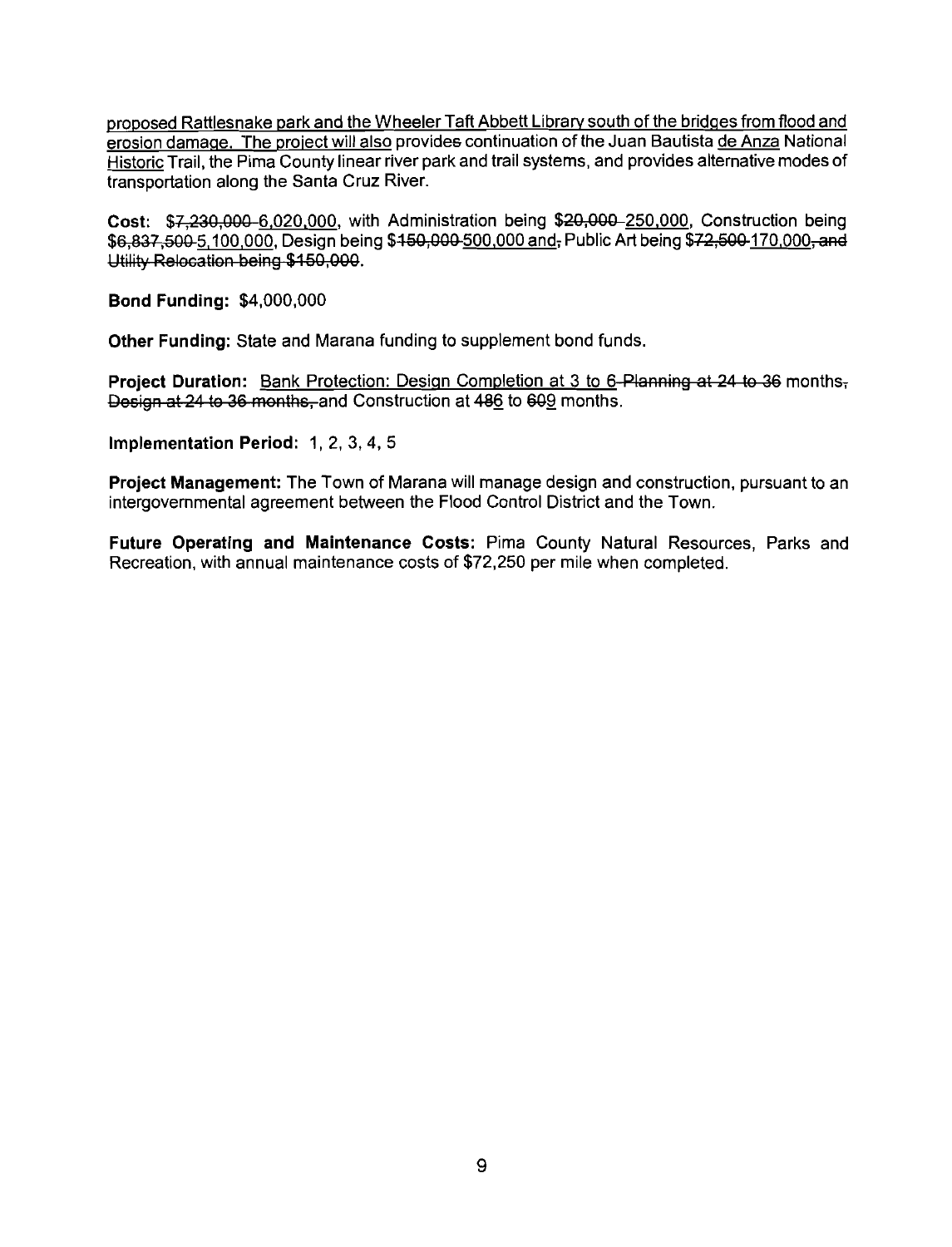proposed Rattlesnake park and the Wheeler Taft Abbett Library south of the bridges from flood and erosion damage. The project will also provides continuation of the Juan Bautista de Anza National Historic Trail, the Pima County linear river park and trail systems, and provides alternative modes of transportation along the Santa Cruz River.

Cost: \$7,230,000-6,020,000, with Administration being \$20,000-250,000, Construction being \$6,837,500 <u>5,100,000,</u> Design being \$<del>150,000 <u>500,000 and</u>,</del> Public Art being \$72,500 170,000, and<br>Utility Relocation being \$150,000.

Bond Funding: \$4,000,000

Other Funding: State and Marana funding to supplement bond funds.

Project Duration: Bank Protection: Design Completion at 3 to 6- Planning at 24 to 36 months, Design at 24 to 36 months, and Construction at 486 to 609 months.

Implementation Period: 1, 2, 3, 4, 5

Project Management: The Town of Marana will manage design and construction, pursuant to an intergovernmental agreement between the Flood Control District and the Town.

Future Operating and Maintenance Costs: Pima County Natural Resources, Parks and Recreation, with annual maintenance costs of \$72,250 per mile when completed.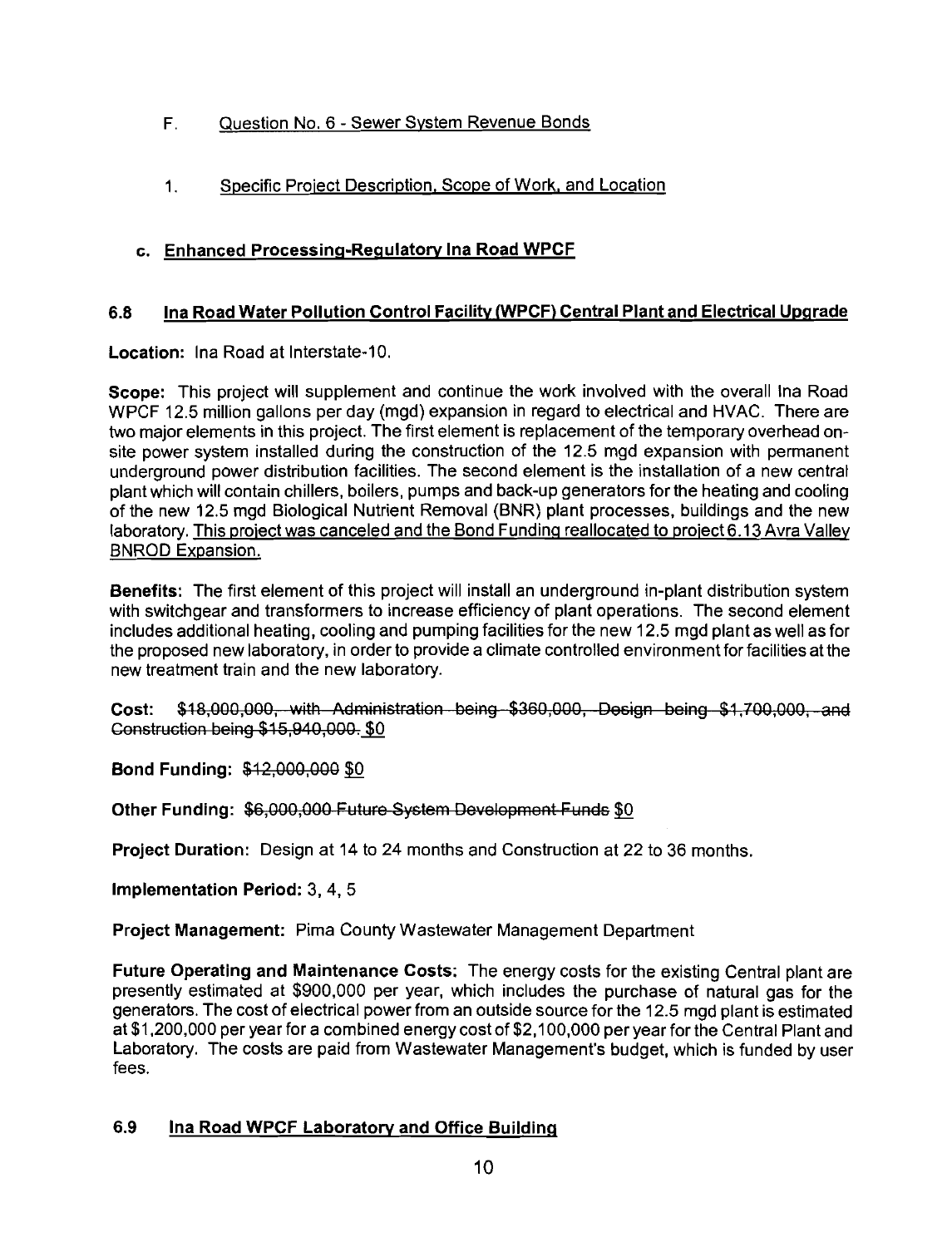- F. Question No. 6 Sewer System Revenue Bonds
- 1. Specific Proiect Description. Scope of Work, and Location

#### c. Enhanced Processing-Regulatory Ina Road WPCF

#### **6.8** Ina Road Water Pollution Control Facility (WPCF) Central Plant and Electrical Upgrade

Location: Ina Road at Interstate-10.

Scope: This project will supplement and continue the work involved with the overall Ina Road WPCF 12.5 million gallons per day (mgd) expansion in regard to electrical and HVAC. There are two major elements in this project. The first element is replacement of the temporary overhead onsite power system installed during the construction of the 12.5 mgd expansion with permanent underground power distribution facilities. The second element is the installation of a new central plant which will contain chillers, boilers, pumps and back-up generators for the heating and cooling of the new 12.5 mgd Biological Nutrient Removal (BNR) plant processes, buildings and the new laboratory. This project was canceled and the Bond Funding reallocated to project 6.13 Avra Valley BNROD Expansion. 1. Specific Project Description, Scope of Work, and Location<br>
Enhanced Processing-Regulatory Ina Road WPCF<br>
Ina Road Water Pollution Control Facility (WPCF) Central Plant and Electrical Upgrade<br>
on: Ina Road at Interstate-

Benefits: The first element of this project will install an underground in-plant distribution system with switchgear and transformers to increase efficiency of plant operations. The second element includes additional heating, cooling and pumping facilities for the new 12.5 mgd plant as well as for the proposed new laboratory, in order to provide a climate controlled environment for facilities at the new treatment train and the new laboratory.

**Cost:** \$18,000,000, with Administration being \$360,000, Dosign being \$1,700,000, and Construction being \$15,940,000. \$0

Bond Funding: \$12,000,000 \$0

Other Funding: \$6,000,000 Future System Development Funds \$0

Project Duration: Design at 14 to 24 months and Construction at 22 to 36 months.

Implementation Period: 3, 4, 5

Project Management: Pima County Wastewater Management Department

Future Operating and Maintenance Costs: The energy costs for the existing Central plant are presently estimated at \$900,000 per year, which includes the purchase of natural gas for the generators. The cost of electrical power from an outside source for the 12.5 mgd plant is estimated at \$1,200,000 per year for a combined energy cost of \$2,100,000 per year for the Central Plant and Laboratory. The costs are paid from Wastewater Management's budget, which is funded by user fees.

#### **6.9** Ina Road WPCF Laboratory and Office Buildinq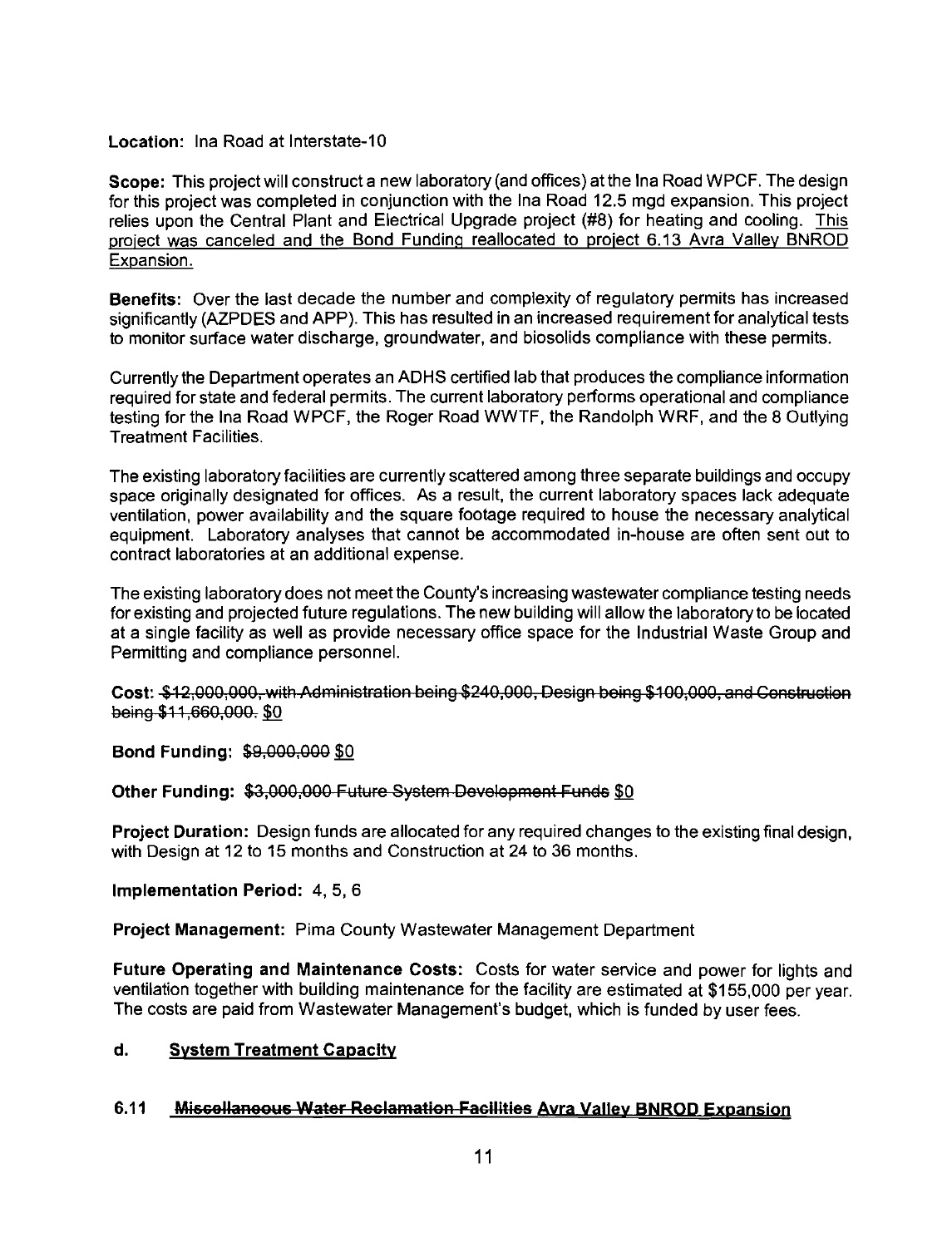#### Location: Ina Road at Interstate-10

Scope: This project will construct a new laboratory (and offices) at the Ina Road WPCF. The design for this project was completed in conjunction with the Ina Road 12.5 mgd expansion. This project relies upon the Central Plant and Electrical Upgrade project (#8) for heating and cooling. This project was canceled and the Bond Funding reallocated to project 6.13 Avra Valley BNROD Expansion. ...ocation: Ina Road at interstate-10<br>
contert This project will construct a new laboratory (and offices) at the ha Road WPCF. The design<br>
Societ: This project was completed in conjunction with the Ina Road 12.5 mgd expans

Benefits: Over the last decade the number and complexity of regulatory permits has increased significantly (AZPDES and APP). This has resulted in an increased requirement for analytical tests to monitor surface water discharge, groundwater, and biosolids compliance with these permits.

Currently the Department operates an ADHS certified lab that produces the compliance information required for state and federal permits. The current laboratory performs operational and compliance testing for the Ina Road WPCF, the Roger Road WWTF, the Randolph WRF, and the 8 Outlying Treatment Facilities.

The existing laboratory facilities are currently scattered among three separate buildings and occupy space originally designated for offices. As a result, the current laboratory spaces lack adequate ventilation, power availability and the square footage required to house the necessary analytical equipment. Laboratory analyses that cannot be accommodated in-house are often sent out to contract laboratories at an additional expense.

The existing laboratory does not meet the County's increasing wastewater compliance testing needs for existing and projected future regulations. The new building will allow the laboratoryto be located at a single facility as well as provide necessary office space for the Industrial Waste Group and Permitting and compliance personnel.

Cost: \$12,000,000, with Administration being \$240,000, Design being \$100,000, and Construction being \$11,660,000. \$0

**Bond Funding: \$9,000,000 \$0** 

Project Duration: Design funds are allocated for any required changes to the existingfinal design, with Design at 12 to 15 months and Construction at 24 to 36 months.

Implementation Period: 4, 5, 6

Project Management: Pima County Wastewater Management Department

Future Operating and Maintenance Costs: Costs for water service and power for lights and ventilation together with building maintenance for the facility are estimated at \$1 55,000 per year. The costs are paid from Wastewater Management's budget, which is funded by user fees.

#### d. Svstem Treatment Capacity

#### $6.11$ **Miscollaneous Water Reclamation Facilities Avra Valley BNROD Expansion**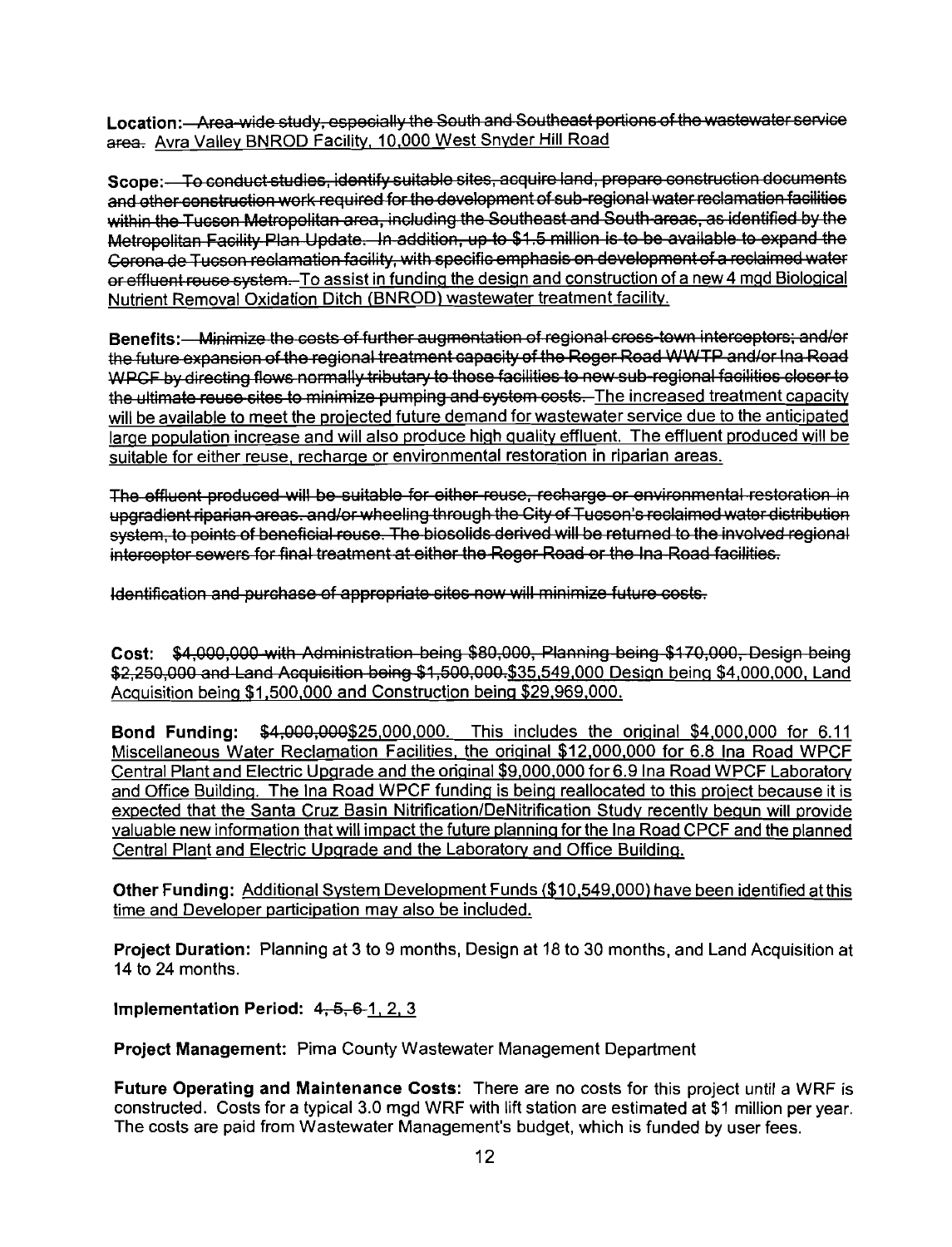Location: Area-wide study, especially the South and Southeast portions of the wastewater service area. Avra Valley BNROD Facility, 10,000 West Snyder Hill Road

Scope:—To conduct studies, identify suitable sites, acquire land, prepare construction documents<br>and other construction work required for the development of sub-regional water reclamation facilities or effluent reuse system. To assist in funding the design and construction of a new 4 mgd Biological Nutrient Removal Oxidation Ditch (BNROD) wastewater treatment facility.

 $\overline{e}$  =  $\overline{e}$ WPCF by directing flows normally tributary to those facilities to new sub-regional facilities closer to<br>the ultimate reuse sites to minimize pumping and system costs. The increased treatment capacity will be available to meet the projected future demand for wastewater service due to the anticipated large population increase and will also produce high quality effluent. The effluent produced will be suitable for either reuse, recharqe or environmental restoration in riparian areas. .contion.—Area-wide abidy-especially-the Soult and Southests periods of the week<br>week Xrm Valey IBNROD Facility. 10,000 West Shorter Hill Road<br>coper — To consider Nation (abidy suitable stiles, addition different abidy a

. .. **3 <sup>7</sup>** >\$35,549,000 **3 <sup>1</sup>**Desiqn beinq \$4,000,000, Land Acquisition beina \$1.500,000 and Construction being \$29,969,000.

Bond Funding: \$4,000,000\$25,000,000. This includes the original \$4,000,000 for 6.11 Miscellaneous Water Reclamation Facilities, the original \$12,000,000 for 6.8 Ina Road WPCF Central Plant and Electric Upgrade and the original \$9,000,000 for 6.9 Ina Road WPCF Laboratory and Office Building. The Ina Road WPCF funding is being reallocated to this project because it is expected that the Santa Cruz Basin Nitrification/DeNitrification Study recently bequn will provide valuable new information that will impact the future planning for the Ina Road CPCF and the planned Central Plant and Electric Upgrade and the Laboratory and Office Building.

Other Funding: Additional System Development Funds (\$10,549,000) have been identified at this time and Developer participation may also be included.

Project Duration: Planning at 3 to 9 months, Design at 18 to 30 months, and Land Acquisition at 14 to 24 months.

Implementation Period:  $4, 5, 6, 1, 2, 3$ 

Project Management: Pima County Wastewater Management Department

Future Operating and Maintenance Costs: There are no costs for this project until a WRF is constructed. Costs for a typical 3.0 mgd WRF with lift station are estimated at \$1 million per year. The costs are paid from Wastewater Management's budget, which is funded by user fees.